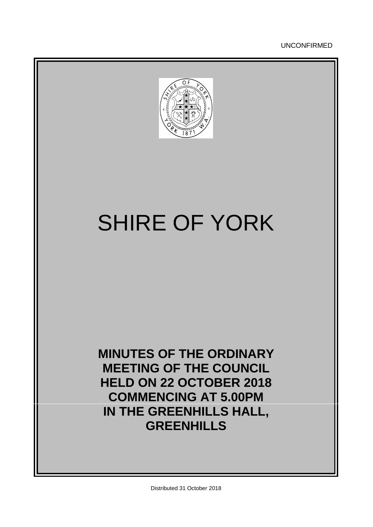UNCONFIRMED



# SHIRE OF YORK

**MINUTES OF THE ORDINARY MEETING OF THE COUNCIL HELD ON 22 OCTOBER 2018 COMMENCING AT 5.00PM IN THE GREENHILLS HALL, GREENHILLS**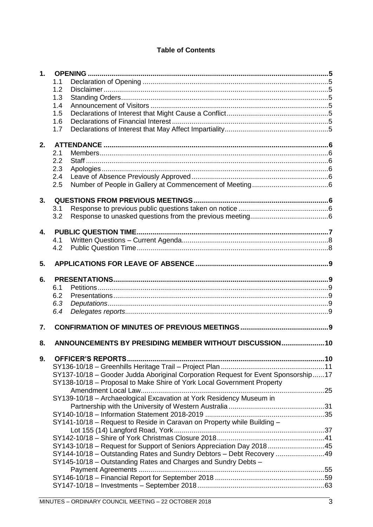# **Table of Contents**

|              | 1.1<br>1.2<br>1.3                                                                 |  |
|--------------|-----------------------------------------------------------------------------------|--|
|              |                                                                                   |  |
|              |                                                                                   |  |
|              |                                                                                   |  |
|              | 1.4                                                                               |  |
|              | 1.5                                                                               |  |
|              | 1.6                                                                               |  |
|              | 1.7                                                                               |  |
| 2.           |                                                                                   |  |
|              | 2.1                                                                               |  |
|              | 2.2                                                                               |  |
|              | 2.3                                                                               |  |
|              | 2.4                                                                               |  |
|              | 2.5                                                                               |  |
| 3.           |                                                                                   |  |
|              | 3.1                                                                               |  |
|              | 3.2                                                                               |  |
|              |                                                                                   |  |
| $\mathbf{A}$ | 4.1                                                                               |  |
|              | 4.2                                                                               |  |
|              |                                                                                   |  |
| 5.           |                                                                                   |  |
| 6.           |                                                                                   |  |
|              | 6.1                                                                               |  |
|              | 6.2                                                                               |  |
|              | 6.3                                                                               |  |
|              | 6.4                                                                               |  |
|              |                                                                                   |  |
|              |                                                                                   |  |
| 7.           |                                                                                   |  |
| 8.           | ANNOUNCEMENTS BY PRESIDING MEMBER WITHOUT DISCUSSION 10                           |  |
|              |                                                                                   |  |
| 9.           |                                                                                   |  |
|              | SY137-10/18 - Gooder Judda Aboriginal Corporation Request for Event Sponsorship17 |  |
|              | SY138-10/18 - Proposal to Make Shire of York Local Government Property            |  |
|              |                                                                                   |  |
|              | SY139-10/18 - Archaeological Excavation at York Residency Museum in               |  |
|              |                                                                                   |  |
|              |                                                                                   |  |
|              | SY141-10/18 - Request to Reside in Caravan on Property while Building -           |  |
|              |                                                                                   |  |
|              |                                                                                   |  |
|              | SY143-10/18 - Request for Support of Seniors Appreciation Day 201845              |  |
|              | SY144-10/18 - Outstanding Rates and Sundry Debtors - Debt Recovery 49             |  |
|              | SY145-10/18 - Outstanding Rates and Charges and Sundry Debts -                    |  |
|              |                                                                                   |  |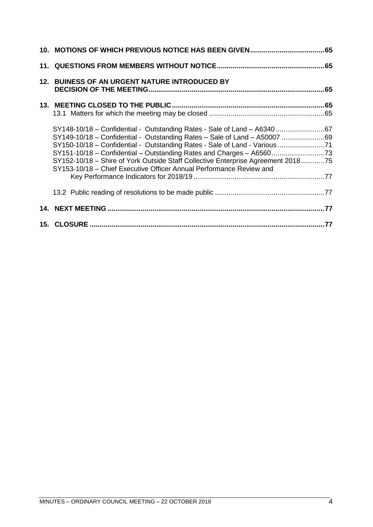| 12. BUINESS OF AN URGENT NATURE INTRODUCED BY                                                                                                                                                                                                                                                                                                                                                                                                                        |  |
|----------------------------------------------------------------------------------------------------------------------------------------------------------------------------------------------------------------------------------------------------------------------------------------------------------------------------------------------------------------------------------------------------------------------------------------------------------------------|--|
|                                                                                                                                                                                                                                                                                                                                                                                                                                                                      |  |
| SY148-10/18 - Confidential - Outstanding Rates - Sale of Land - A6340 67<br>SY149-10/18 - Confidential - Outstanding Rates - Sale of Land - A50007 69<br>SY150-10/18 - Confidential - Outstanding Rates - Sale of Land - Various 71<br>SY151-10/18 – Confidential – Outstanding Rates and Charges – A6560<br>SY152-10/18 - Shire of York Outside Staff Collective Enterprise Agreement 201875<br>SY153-10/18 - Chief Executive Officer Annual Performance Review and |  |
|                                                                                                                                                                                                                                                                                                                                                                                                                                                                      |  |
|                                                                                                                                                                                                                                                                                                                                                                                                                                                                      |  |
|                                                                                                                                                                                                                                                                                                                                                                                                                                                                      |  |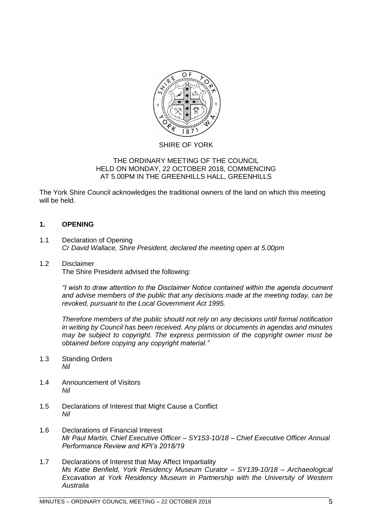

#### SHIRE OF YORK

#### THE ORDINARY MEETING OF THE COUNCIL HELD ON MONDAY, 22 OCTOBER 2018, COMMENCING AT 5.00PM IN THE GREENHILLS HALL, GREENHILLS

The York Shire Council acknowledges the traditional owners of the land on which this meeting will be held.

#### <span id="page-4-0"></span>**1. OPENING**

<span id="page-4-1"></span>1.1 Declaration of Opening *Cr David Wallace, Shire President, declared the meeting open at 5.00pm*

#### <span id="page-4-2"></span>1.2 Disclaimer

The Shire President advised the following:

*"I wish to draw attention to the Disclaimer Notice contained within the agenda document and advise members of the public that any decisions made at the meeting today, can be revoked, pursuant to the Local Government Act 1995.* 

*Therefore members of the public should not rely on any decisions until formal notification in writing by Council has been received. Any plans or documents in agendas and minutes may be subject to copyright. The express permission of the copyright owner must be obtained before copying any copyright material."*

- <span id="page-4-3"></span>1.3 Standing Orders *Nil*
- <span id="page-4-4"></span>1.4 Announcement of Visitors *Nil*
- <span id="page-4-5"></span>1.5 Declarations of Interest that Might Cause a Conflict *Nil*
- <span id="page-4-6"></span>1.6 Declarations of Financial Interest *Mr Paul Martin, Chief Executive Officer – SY153-10/18 – Chief Executive Officer Annual Performance Review and KPI's 2018/19*
- <span id="page-4-7"></span>1.7 Declarations of Interest that May Affect Impartiality *Ms Katie Benfield, York Residency Museum Curator – SY139-10/18 – Archaeological Excavation at York Residency Museum in Partnership with the University of Western Australia*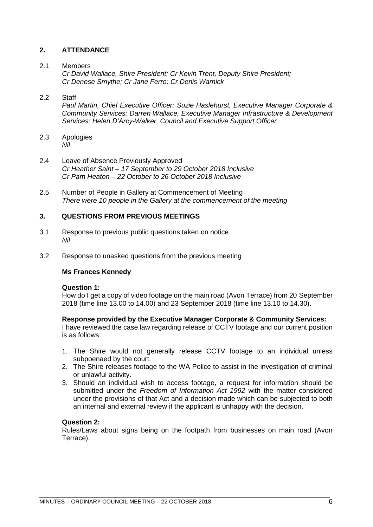#### <span id="page-5-0"></span>**2. ATTENDANCE**

#### <span id="page-5-1"></span>2.1 Members

*Cr David Wallace, Shire President; Cr Kevin Trent, Deputy Shire President; Cr Denese Smythe; Cr Jane Ferro; Cr Denis Warnick*

#### <span id="page-5-2"></span>2.2 Staff

*Paul Martin, Chief Executive Officer; Suzie Haslehurst, Executive Manager Corporate & Community Services; Darren Wallace, Executive Manager Infrastructure & Development Services; Helen D'Arcy-Walker, Council and Executive Support Officer*

- <span id="page-5-3"></span>2.3 Apologies *Nil*
- <span id="page-5-4"></span>2.4 Leave of Absence Previously Approved *Cr Heather Saint – 17 September to 29 October 2018 Inclusive Cr Pam Heaton – 22 October to 26 October 2018 Inclusive*
- <span id="page-5-5"></span>2.5 Number of People in Gallery at Commencement of Meeting *There were 10 people in the Gallery at the commencement of the meeting*

#### <span id="page-5-6"></span>**3. QUESTIONS FROM PREVIOUS MEETINGS**

- <span id="page-5-7"></span>3.1 Response to previous public questions taken on notice *Nil*
- <span id="page-5-8"></span>3.2 Response to unasked questions from the previous meeting

#### **Ms Frances Kennedy**

#### **Question 1:**

How do I get a copy of video footage on the main road (Avon Terrace) from 20 September 2018 (time line 13.00 to 14.00) and 23 September 2018 (time line 13.10 to 14.30).

#### **Response provided by the Executive Manager Corporate & Community Services:**

I have reviewed the case law regarding release of CCTV footage and our current position is as follows:

- 1. The Shire would not generally release CCTV footage to an individual unless subpoenaed by the court.
- 2. The Shire releases footage to the WA Police to assist in the investigation of criminal or unlawful activity.
- 3. Should an individual wish to access footage, a request for information should be submitted under the *Freedom of Information Act 1992* with the matter considered under the provisions of that Act and a decision made which can be subjected to both an internal and external review if the applicant is unhappy with the decision.

#### **Question 2:**

Rules/Laws about signs being on the footpath from businesses on main road (Avon Terrace).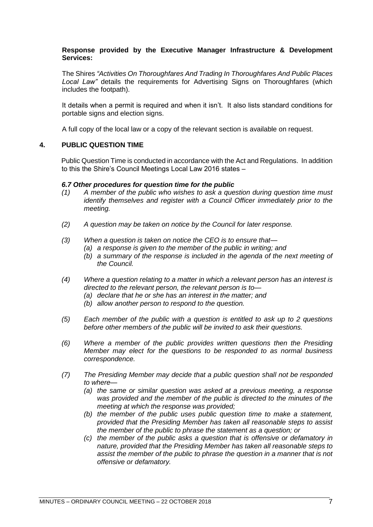#### **Response provided by the Executive Manager Infrastructure & Development Services:**

The Shires *"Activities On Thoroughfares And Trading In Thoroughfares And Public Places Local Law"* details the requirements for Advertising Signs on Thoroughfares (which includes the footpath).

It details when a permit is required and when it isn't. It also lists standard conditions for portable signs and election signs.

A full copy of the local law or a copy of the relevant section is available on request.

#### <span id="page-6-0"></span>**4. PUBLIC QUESTION TIME**

Public Question Time is conducted in accordance with the Act and Regulations. In addition to this the Shire's Council Meetings Local Law 2016 states –

#### *6.7 Other procedures for question time for the public*

- *(1) A member of the public who wishes to ask a question during question time must identify themselves and register with a Council Officer immediately prior to the meeting.*
- *(2) A question may be taken on notice by the Council for later response.*
- *(3) When a question is taken on notice the CEO is to ensure that—*
	- *(a) a response is given to the member of the public in writing; and*
	- *(b) a summary of the response is included in the agenda of the next meeting of the Council.*
- *(4) Where a question relating to a matter in which a relevant person has an interest is directed to the relevant person, the relevant person is to—*
	- *(a) declare that he or she has an interest in the matter; and*
	- *(b) allow another person to respond to the question.*
- *(5) Each member of the public with a question is entitled to ask up to 2 questions before other members of the public will be invited to ask their questions.*
- *(6) Where a member of the public provides written questions then the Presiding Member may elect for the questions to be responded to as normal business correspondence.*
- *(7) The Presiding Member may decide that a public question shall not be responded to where—*
	- *(a) the same or similar question was asked at a previous meeting, a response was provided and the member of the public is directed to the minutes of the meeting at which the response was provided;*
	- *(b) the member of the public uses public question time to make a statement, provided that the Presiding Member has taken all reasonable steps to assist the member of the public to phrase the statement as a question; or*
	- *(c) the member of the public asks a question that is offensive or defamatory in nature, provided that the Presiding Member has taken all reasonable steps to assist the member of the public to phrase the question in a manner that is not offensive or defamatory.*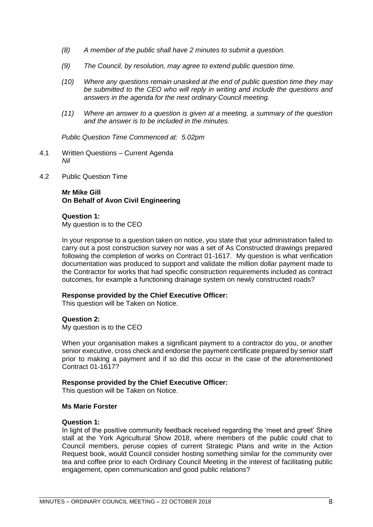- *(8) A member of the public shall have 2 minutes to submit a question.*
- *(9) The Council, by resolution, may agree to extend public question time.*
- *(10) Where any questions remain unasked at the end of public question time they may be submitted to the CEO who will reply in writing and include the questions and answers in the agenda for the next ordinary Council meeting.*
- *(11) Where an answer to a question is given at a meeting, a summary of the question and the answer is to be included in the minutes.*

*Public Question Time Commenced at: 5.02pm*

- <span id="page-7-0"></span>4.1 Written Questions – Current Agenda *Nil*
- <span id="page-7-1"></span>4.2 Public Question Time

#### **Mr Mike Gill On Behalf of Avon Civil Engineering**

#### **Question 1:**

My question is to the CEO

In your response to a question taken on notice, you state that your administration failed to carry out a post construction survey nor was a set of As Constructed drawings prepared following the completion of works on Contract 01-1617. My question is what verification documentation was produced to support and validate the million dollar payment made to the Contractor for works that had specific construction requirements included as contract outcomes, for example a functioning drainage system on newly constructed roads?

#### **Response provided by the Chief Executive Officer:**

This question will be Taken on Notice.

#### **Question 2:**

My question is to the CEO

When your organisation makes a significant payment to a contractor do you, or another senior executive, cross check and endorse the payment certificate prepared by senior staff prior to making a payment and if so did this occur in the case of the aforementioned Contract 01-1617?

#### **Response provided by the Chief Executive Officer:**

This question will be Taken on Notice.

#### **Ms Marie Forster**

#### **Question 1:**

In light of the positive community feedback received regarding the 'meet and greet' Shire stall at the York Agricultural Show 2018, where members of the public could chat to Council members, peruse copies of current Strategic Plans and write in the Action Request book, would Council consider hosting something similar for the community over tea and coffee prior to each Ordinary Council Meeting in the interest of facilitating public engagement, open communication and good public relations?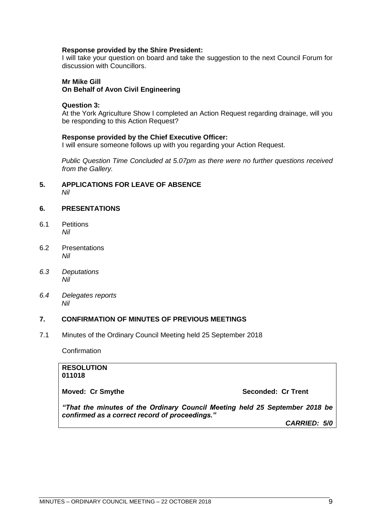#### **Response provided by the Shire President:**

I will take your question on board and take the suggestion to the next Council Forum for discussion with Councillors.

#### **Mr Mike Gill On Behalf of Avon Civil Engineering**

#### **Question 3:**

At the York Agriculture Show I completed an Action Request regarding drainage, will you be responding to this Action Request?

#### **Response provided by the Chief Executive Officer:**

I will ensure someone follows up with you regarding your Action Request.

*Public Question Time Concluded at 5.07pm as there were no further questions received from the Gallery.*

#### <span id="page-8-0"></span>**5. APPLICATIONS FOR LEAVE OF ABSENCE**  *Nil*

#### <span id="page-8-1"></span>**6. PRESENTATIONS**

- <span id="page-8-2"></span>6.1 Petitions *Nil*
- <span id="page-8-3"></span>6.2 Presentations *Nil*
- <span id="page-8-4"></span>*6.3 Deputations Nil*
- <span id="page-8-5"></span>*6.4 Delegates reports Nil*

#### <span id="page-8-6"></span>**7. CONFIRMATION OF MINUTES OF PREVIOUS MEETINGS**

7.1 Minutes of the Ordinary Council Meeting held 25 September 2018

**Confirmation** 

#### **RESOLUTION 011018**

**Moved: Cr Smythe Seconded: Cr Trent** 

*"That the minutes of the Ordinary Council Meeting held 25 September 2018 be confirmed as a correct record of proceedings."*

*CARRIED: 5/0*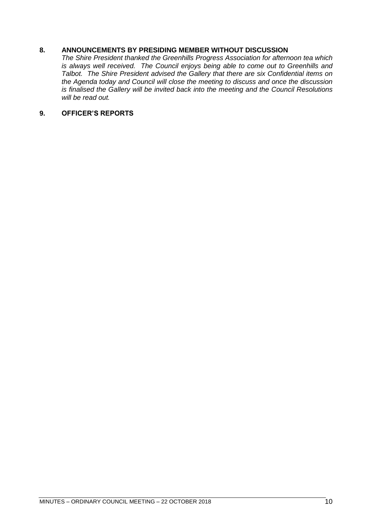#### <span id="page-9-0"></span>**8. ANNOUNCEMENTS BY PRESIDING MEMBER WITHOUT DISCUSSION**

*The Shire President thanked the Greenhills Progress Association for afternoon tea which is always well received. The Council enjoys being able to come out to Greenhills and Talbot. The Shire President advised the Gallery that there are six Confidential items on the Agenda today and Council will close the meeting to discuss and once the discussion is finalised the Gallery will be invited back into the meeting and the Council Resolutions will be read out.*

#### <span id="page-9-1"></span>**9. OFFICER'S REPORTS**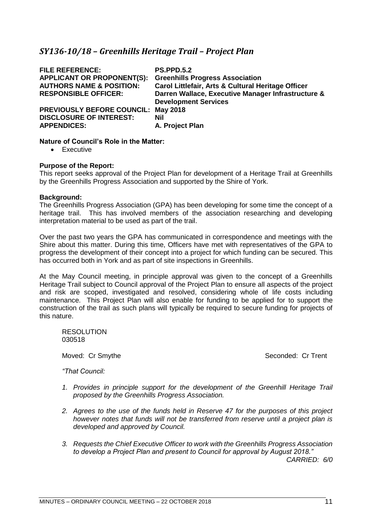# <span id="page-10-0"></span>*SY136-10/18 – Greenhills Heritage Trail – Project Plan*

| <b>FILE REFERENCE:</b><br><b>APPLICANT OR PROPONENT(S):</b><br><b>AUTHORS NAME &amp; POSITION:</b><br><b>RESPONSIBLE OFFICER:</b> | <b>PS.PPD.5.2</b><br><b>Greenhills Progress Association</b><br>Carol Littlefair, Arts & Cultural Heritage Officer<br>Darren Wallace, Executive Manager Infrastructure &<br><b>Development Services</b> |
|-----------------------------------------------------------------------------------------------------------------------------------|--------------------------------------------------------------------------------------------------------------------------------------------------------------------------------------------------------|
| <b>PREVIOUSLY BEFORE COUNCIL:</b>                                                                                                 | <b>May 2018</b>                                                                                                                                                                                        |
| <b>DISCLOSURE OF INTEREST:</b>                                                                                                    | Nil                                                                                                                                                                                                    |
| <b>APPENDICES:</b>                                                                                                                | A. Project Plan                                                                                                                                                                                        |

#### **Nature of Council's Role in the Matter:**

• Executive

#### **Purpose of the Report:**

This report seeks approval of the Project Plan for development of a Heritage Trail at Greenhills by the Greenhills Progress Association and supported by the Shire of York.

#### **Background:**

The Greenhills Progress Association (GPA) has been developing for some time the concept of a heritage trail. This has involved members of the association researching and developing interpretation material to be used as part of the trail.

Over the past two years the GPA has communicated in correspondence and meetings with the Shire about this matter. During this time, Officers have met with representatives of the GPA to progress the development of their concept into a project for which funding can be secured. This has occurred both in York and as part of site inspections in Greenhills.

At the May Council meeting, in principle approval was given to the concept of a Greenhills Heritage Trail subject to Council approval of the Project Plan to ensure all aspects of the project and risk are scoped, investigated and resolved, considering whole of life costs including maintenance. This Project Plan will also enable for funding to be applied for to support the construction of the trail as such plans will typically be required to secure funding for projects of this nature.

RESOLUTION 030518

Moved: Cr Smythe Seconded: Cr Trent

*"That Council:*

- *1. Provides in principle support for the development of the Greenhill Heritage Trail proposed by the Greenhills Progress Association.*
- *2. Agrees to the use of the funds held in Reserve 47 for the purposes of this project however notes that funds will not be transferred from reserve until a project plan is developed and approved by Council.*
- *3. Requests the Chief Executive Officer to work with the Greenhills Progress Association to develop a Project Plan and present to Council for approval by August 2018." CARRIED: 6/0*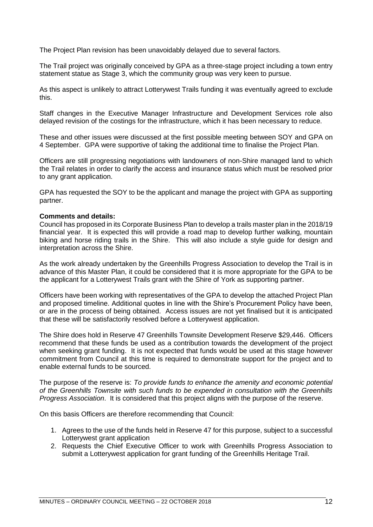The Project Plan revision has been unavoidably delayed due to several factors.

The Trail project was originally conceived by GPA as a three-stage project including a town entry statement statue as Stage 3, which the community group was very keen to pursue.

As this aspect is unlikely to attract Lotterywest Trails funding it was eventually agreed to exclude this.

Staff changes in the Executive Manager Infrastructure and Development Services role also delayed revision of the costings for the infrastructure, which it has been necessary to reduce.

These and other issues were discussed at the first possible meeting between SOY and GPA on 4 September. GPA were supportive of taking the additional time to finalise the Project Plan.

Officers are still progressing negotiations with landowners of non-Shire managed land to which the Trail relates in order to clarify the access and insurance status which must be resolved prior to any grant application.

GPA has requested the SOY to be the applicant and manage the project with GPA as supporting partner.

#### **Comments and details:**

Council has proposed in its Corporate Business Plan to develop a trails master plan in the 2018/19 financial year. It is expected this will provide a road map to develop further walking, mountain biking and horse riding trails in the Shire. This will also include a style guide for design and interpretation across the Shire.

As the work already undertaken by the Greenhills Progress Association to develop the Trail is in advance of this Master Plan, it could be considered that it is more appropriate for the GPA to be the applicant for a Lotterywest Trails grant with the Shire of York as supporting partner.

Officers have been working with representatives of the GPA to develop the attached Project Plan and proposed timeline. Additional quotes in line with the Shire's Procurement Policy have been, or are in the process of being obtained. Access issues are not yet finalised but it is anticipated that these will be satisfactorily resolved before a Lotterywest application.

The Shire does hold in Reserve 47 Greenhills Townsite Development Reserve \$29,446. Officers recommend that these funds be used as a contribution towards the development of the project when seeking grant funding. It is not expected that funds would be used at this stage however commitment from Council at this time is required to demonstrate support for the project and to enable external funds to be sourced.

The purpose of the reserve is: *To provide funds to enhance the amenity and economic potential of the Greenhills Townsite with such funds to be expended in consultation with the Greenhills Progress Association*. It is considered that this project aligns with the purpose of the reserve.

On this basis Officers are therefore recommending that Council:

- 1. Agrees to the use of the funds held in Reserve 47 for this purpose, subject to a successful Lotterywest grant application
- 2. Requests the Chief Executive Officer to work with Greenhills Progress Association to submit a Lotterywest application for grant funding of the Greenhills Heritage Trail.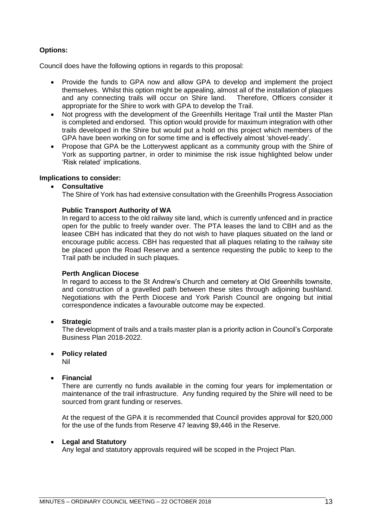#### **Options:**

Council does have the following options in regards to this proposal:

- Provide the funds to GPA now and allow GPA to develop and implement the project themselves. Whilst this option might be appealing, almost all of the installation of plaques and any connecting trails will occur on Shire land. Therefore, Officers consider it appropriate for the Shire to work with GPA to develop the Trail.
- Not progress with the development of the Greenhills Heritage Trail until the Master Plan is completed and endorsed. This option would provide for maximum integration with other trails developed in the Shire but would put a hold on this project which members of the GPA have been working on for some time and is effectively almost 'shovel-ready'.
- Propose that GPA be the Lotterywest applicant as a community group with the Shire of York as supporting partner, in order to minimise the risk issue highlighted below under 'Risk related' implications.

#### **Implications to consider:**

#### • **Consultative**

The Shire of York has had extensive consultation with the Greenhills Progress Association

#### **Public Transport Authority of WA**

In regard to access to the old railway site land, which is currently unfenced and in practice open for the public to freely wander over. The PTA leases the land to CBH and as the leasee CBH has indicated that they do not wish to have plaques situated on the land or encourage public access. CBH has requested that all plaques relating to the railway site be placed upon the Road Reserve and a sentence requesting the public to keep to the Trail path be included in such plaques.

#### **Perth Anglican Diocese**

In regard to access to the St Andrew's Church and cemetery at Old Greenhills townsite, and construction of a gravelled path between these sites through adjoining bushland. Negotiations with the Perth Diocese and York Parish Council are ongoing but initial correspondence indicates a favourable outcome may be expected.

#### • **Strategic**

The development of trails and a trails master plan is a priority action in Council's Corporate Business Plan 2018-2022.

#### • **Policy related**

Nil

#### • **Financial**

There are currently no funds available in the coming four years for implementation or maintenance of the trail infrastructure. Any funding required by the Shire will need to be sourced from grant funding or reserves.

At the request of the GPA it is recommended that Council provides approval for \$20,000 for the use of the funds from Reserve 47 leaving \$9,446 in the Reserve.

#### • **Legal and Statutory**

Any legal and statutory approvals required will be scoped in the Project Plan.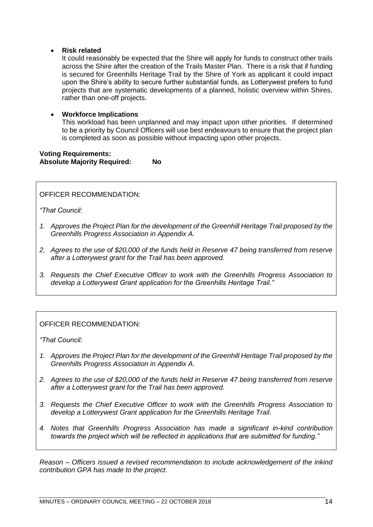#### • **Risk related**

It could reasonably be expected that the Shire will apply for funds to construct other trails across the Shire after the creation of the Trails Master Plan. There is a risk that if funding is secured for Greenhills Heritage Trail by the Shire of York as applicant it could impact upon the Shire's ability to secure further substantial funds, as Lotterywest prefers to fund projects that are systematic developments of a planned, holistic overview within Shires, rather than one-off projects.

#### • **Workforce Implications**

This workload has been unplanned and may impact upon other priorities. If determined to be a priority by Council Officers will use best endeavours to ensure that the project plan is completed as soon as possible without impacting upon other projects.

#### **Voting Requirements: Absolute Majority Required: No**

OFFICER RECOMMENDATION:

*"That Council:*

- *1. Approves the Project Plan for the development of the Greenhill Heritage Trail proposed by the Greenhills Progress Association in Appendix A.*
- *2. Agrees to the use of \$20,000 of the funds held in Reserve 47 being transferred from reserve after a Lotterywest grant for the Trail has been approved.*
- *3. Requests the Chief Executive Officer to work with the Greenhills Progress Association to develop a Lotterywest Grant application for the Greenhills Heritage Trail."*

#### OFFICER RECOMMENDATION:

*"That Council:*

- *1. Approves the Project Plan for the development of the Greenhill Heritage Trail proposed by the Greenhills Progress Association in Appendix A.*
- *2. Agrees to the use of \$20,000 of the funds held in Reserve 47 being transferred from reserve after a Lotterywest grant for the Trail has been approved.*
- *3. Requests the Chief Executive Officer to work with the Greenhills Progress Association to develop a Lotterywest Grant application for the Greenhills Heritage Trail.*
- *4. Notes that Greenhills Progress Association has made a significant in-kind contribution towards the project which will be reflected in applications that are submitted for funding."*

*Reason – Officers issued a revised recommendation to include acknowledgement of the inkind contribution GPA has made to the project.*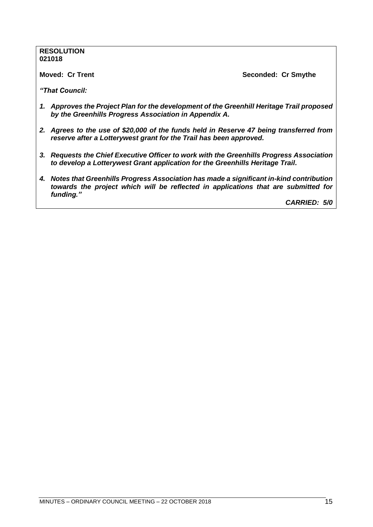#### **RESOLUTION 021018**

**Moved: Cr Trent Seconded: Cr Smythe**

*"That Council:*

- *1. Approves the Project Plan for the development of the Greenhill Heritage Trail proposed by the Greenhills Progress Association in Appendix A.*
- *2. Agrees to the use of \$20,000 of the funds held in Reserve 47 being transferred from reserve after a Lotterywest grant for the Trail has been approved.*
- *3. Requests the Chief Executive Officer to work with the Greenhills Progress Association to develop a Lotterywest Grant application for the Greenhills Heritage Trail.*
- *4. Notes that Greenhills Progress Association has made a significant in-kind contribution towards the project which will be reflected in applications that are submitted for funding."*

*CARRIED: 5/0*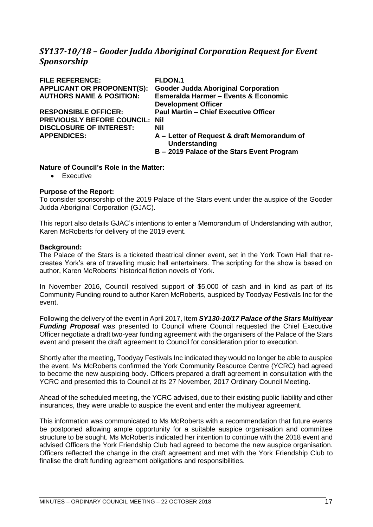# <span id="page-16-0"></span>*SY137-10/18 – Gooder Judda Aboriginal Corporation Request for Event Sponsorship*

| <b>FILE REFERENCE:</b>              | FI.DON.1                                                     |
|-------------------------------------|--------------------------------------------------------------|
| <b>APPLICANT OR PROPONENT(S):</b>   | <b>Gooder Judda Aboriginal Corporation</b>                   |
| <b>AUTHORS NAME &amp; POSITION:</b> | <b>Esmeralda Harmer - Events &amp; Economic</b>              |
|                                     | <b>Development Officer</b>                                   |
| <b>RESPONSIBLE OFFICER:</b>         | <b>Paul Martin - Chief Executive Officer</b>                 |
| <b>PREVIOUSLY BEFORE COUNCIL:</b>   | <b>Nil</b>                                                   |
| <b>DISCLOSURE OF INTEREST:</b>      | Nil                                                          |
| <b>APPENDICES:</b>                  | A – Letter of Request & draft Memorandum of<br>Understanding |
|                                     | B - 2019 Palace of the Stars Event Program                   |

#### **Nature of Council's Role in the Matter:**

• Executive

#### **Purpose of the Report:**

To consider sponsorship of the 2019 Palace of the Stars event under the auspice of the Gooder Judda Aboriginal Corporation (GJAC).

This report also details GJAC's intentions to enter a Memorandum of Understanding with author, Karen McRoberts for delivery of the 2019 event.

#### **Background:**

The Palace of the Stars is a ticketed theatrical dinner event, set in the York Town Hall that recreates York's era of travelling music hall entertainers. The scripting for the show is based on author, Karen McRoberts' historical fiction novels of York.

In November 2016, Council resolved support of \$5,000 of cash and in kind as part of its Community Funding round to author Karen McRoberts, auspiced by Toodyay Festivals Inc for the event.

Following the delivery of the event in April 2017, Item *SY130-10/17 Palace of the Stars Multiyear Funding Proposal* was presented to Council where Council requested the Chief Executive Officer negotiate a draft two-year funding agreement with the organisers of the Palace of the Stars event and present the draft agreement to Council for consideration prior to execution.

Shortly after the meeting, Toodyay Festivals Inc indicated they would no longer be able to auspice the event. Ms McRoberts confirmed the York Community Resource Centre (YCRC) had agreed to become the new auspicing body. Officers prepared a draft agreement in consultation with the YCRC and presented this to Council at its 27 November, 2017 Ordinary Council Meeting.

Ahead of the scheduled meeting, the YCRC advised, due to their existing public liability and other insurances, they were unable to auspice the event and enter the multiyear agreement.

This information was communicated to Ms McRoberts with a recommendation that future events be postponed allowing ample opportunity for a suitable auspice organisation and committee structure to be sought. Ms McRoberts indicated her intention to continue with the 2018 event and advised Officers the York Friendship Club had agreed to become the new auspice organisation. Officers reflected the change in the draft agreement and met with the York Friendship Club to finalise the draft funding agreement obligations and responsibilities.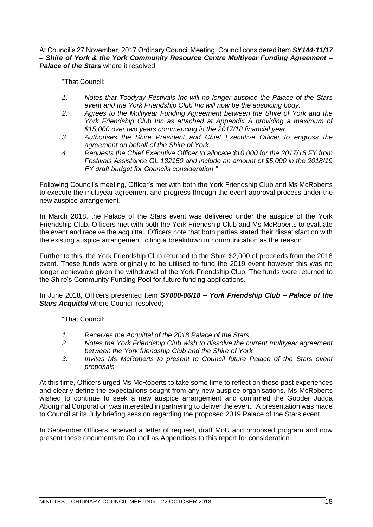At Council's 27 November, 2017 Ordinary Council Meeting, Council considered item *SY144-11/17 – Shire of York & the York Community Resource Centre Multiyear Funding Agreement – Palace of the Stars* where it resolved:

"That Council:

- *1. Notes that Toodyay Festivals Inc will no longer auspice the Palace of the Stars event and the York Friendship Club Inc will now be the auspicing body.*
- *2. Agrees to the Multiyear Funding Agreement between the Shire of York and the York Friendship Club Inc as attached at Appendix A providing a maximum of \$15,000 over two years commencing in the 2017/18 financial year.*
- *3. Authorises the Shire President and Chief Executive Officer to engross the agreement on behalf of the Shire of York.*
- *4. Requests the Chief Executive Officer to allocate \$10,000 for the 2017/18 FY from Festivals Assistance GL 132150 and include an amount of \$5,000 in the 2018/19 FY draft budget for Councils consideration."*

Following Council's meeting, Officer's met with both the York Friendship Club and Ms McRoberts to execute the multiyear agreement and progress through the event approval process under the new auspice arrangement.

In March 2018, the Palace of the Stars event was delivered under the auspice of the York Friendship Club. Officers met with both the York Friendship Club and Ms McRoberts to evaluate the event and receive the acquittal. Officers note that both parties stated their dissatisfaction with the existing auspice arrangement, citing a breakdown in communication as the reason.

Further to this, the York Friendship Club returned to the Shire \$2,000 of proceeds from the 2018 event. These funds were originally to be utilised to fund the 2019 event however this was no longer achievable given the withdrawal of the York Friendship Club. The funds were returned to the Shire's Community Funding Pool for future funding applications.

#### In June 2018, Officers presented Item *SY000-06/18 – York Friendship Club – Palace of the Stars Acquittal* where Council resolved;

"That Council:

- *1. Receives the Acquittal of the 2018 Palace of the Stars*
- *2. Notes the York Friendship Club wish to dissolve the current multiyear agreement between the York friendship Club and the Shire of York*
- *3. Invites Ms McRoberts to present to Council future Palace of the Stars event proposals*

At this time, Officers urged Ms McRoberts to take some time to reflect on these past experiences and clearly define the expectations sought from any new auspice organisations. Ms McRoberts wished to continue to seek a new auspice arrangement and confirmed the Gooder Judda Aboriginal Corporation was interested in partnering to deliver the event. A presentation was made to Council at its July briefing session regarding the proposed 2019 Palace of the Stars event.

In September Officers received a letter of request, draft MoU and proposed program and now present these documents to Council as Appendices to this report for consideration.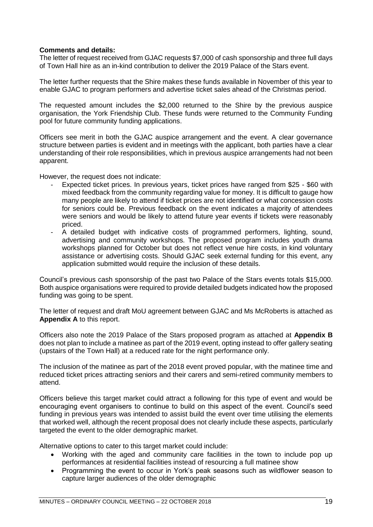#### **Comments and details:**

The letter of request received from GJAC requests \$7,000 of cash sponsorship and three full days of Town Hall hire as an in-kind contribution to deliver the 2019 Palace of the Stars event.

The letter further requests that the Shire makes these funds available in November of this year to enable GJAC to program performers and advertise ticket sales ahead of the Christmas period.

The requested amount includes the \$2,000 returned to the Shire by the previous auspice organisation, the York Friendship Club. These funds were returned to the Community Funding pool for future community funding applications.

Officers see merit in both the GJAC auspice arrangement and the event. A clear governance structure between parties is evident and in meetings with the applicant, both parties have a clear understanding of their role responsibilities, which in previous auspice arrangements had not been apparent.

However, the request does not indicate:

- Expected ticket prices. In previous years, ticket prices have ranged from \$25 \$60 with mixed feedback from the community regarding value for money. It is difficult to gauge how many people are likely to attend if ticket prices are not identified or what concession costs for seniors could be. Previous feedback on the event indicates a majority of attendees were seniors and would be likely to attend future year events if tickets were reasonably priced.
- A detailed budget with indicative costs of programmed performers, lighting, sound, advertising and community workshops. The proposed program includes youth drama workshops planned for October but does not reflect venue hire costs, in kind voluntary assistance or advertising costs. Should GJAC seek external funding for this event, any application submitted would require the inclusion of these details.

Council's previous cash sponsorship of the past two Palace of the Stars events totals \$15,000. Both auspice organisations were required to provide detailed budgets indicated how the proposed funding was going to be spent.

The letter of request and draft MoU agreement between GJAC and Ms McRoberts is attached as **Appendix A** to this report.

Officers also note the 2019 Palace of the Stars proposed program as attached at **Appendix B** does not plan to include a matinee as part of the 2019 event, opting instead to offer gallery seating (upstairs of the Town Hall) at a reduced rate for the night performance only.

The inclusion of the matinee as part of the 2018 event proved popular, with the matinee time and reduced ticket prices attracting seniors and their carers and semi-retired community members to attend.

Officers believe this target market could attract a following for this type of event and would be encouraging event organisers to continue to build on this aspect of the event. Council's seed funding in previous years was intended to assist build the event over time utilising the elements that worked well, although the recent proposal does not clearly include these aspects, particularly targeted the event to the older demographic market.

Alternative options to cater to this target market could include:

- Working with the aged and community care facilities in the town to include pop up performances at residential facilities instead of resourcing a full matinee show
- Programming the event to occur in York's peak seasons such as wildflower season to capture larger audiences of the older demographic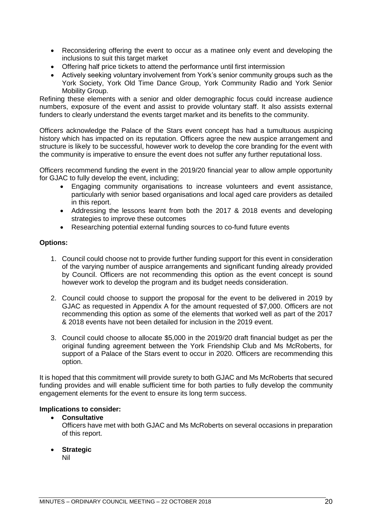- Reconsidering offering the event to occur as a matinee only event and developing the inclusions to suit this target market
- Offering half price tickets to attend the performance until first intermission
- Actively seeking voluntary involvement from York's senior community groups such as the York Society, York Old Time Dance Group, York Community Radio and York Senior Mobility Group.

Refining these elements with a senior and older demographic focus could increase audience numbers, exposure of the event and assist to provide voluntary staff. It also assists external funders to clearly understand the events target market and its benefits to the community.

Officers acknowledge the Palace of the Stars event concept has had a tumultuous auspicing history which has impacted on its reputation. Officers agree the new auspice arrangement and structure is likely to be successful, however work to develop the core branding for the event with the community is imperative to ensure the event does not suffer any further reputational loss.

Officers recommend funding the event in the 2019/20 financial year to allow ample opportunity for GJAC to fully develop the event, including;

- Engaging community organisations to increase volunteers and event assistance, particularly with senior based organisations and local aged care providers as detailed in this report.
- Addressing the lessons learnt from both the 2017 & 2018 events and developing strategies to improve these outcomes
- Researching potential external funding sources to co-fund future events

#### **Options:**

- 1. Council could choose not to provide further funding support for this event in consideration of the varying number of auspice arrangements and significant funding already provided by Council. Officers are not recommending this option as the event concept is sound however work to develop the program and its budget needs consideration.
- 2. Council could choose to support the proposal for the event to be delivered in 2019 by GJAC as requested in Appendix A for the amount requested of \$7,000. Officers are not recommending this option as some of the elements that worked well as part of the 2017 & 2018 events have not been detailed for inclusion in the 2019 event.
- 3. Council could choose to allocate \$5,000 in the 2019/20 draft financial budget as per the original funding agreement between the York Friendship Club and Ms McRoberts, for support of a Palace of the Stars event to occur in 2020. Officers are recommending this option.

It is hoped that this commitment will provide surety to both GJAC and Ms McRoberts that secured funding provides and will enable sufficient time for both parties to fully develop the community engagement elements for the event to ensure its long term success.

#### **Implications to consider:**

#### • **Consultative**

Officers have met with both GJAC and Ms McRoberts on several occasions in preparation of this report.

#### • **Strategic**

Nil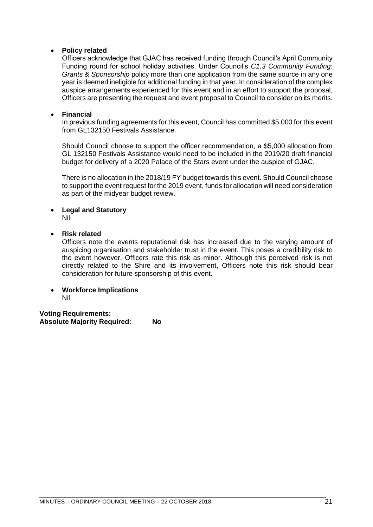#### • **Policy related**

Officers acknowledge that GJAC has received funding through Council's April Community Funding round for school holiday activities. Under Council's *C1.3 Community Funding: Grants & Sponsorship* policy more than one application from the same source in any one year is deemed ineligible for additional funding in that year. In consideration of the complex auspice arrangements experienced for this event and in an effort to support the proposal, Officers are presenting the request and event proposal to Council to consider on its merits.

#### • **Financial**

In previous funding agreements for this event, Council has committed \$5,000 for this event from GL132150 Festivals Assistance.

Should Council choose to support the officer recommendation, a \$5,000 allocation from GL 132150 Festivals Assistance would need to be included in the 2019/20 draft financial budget for delivery of a 2020 Palace of the Stars event under the auspice of GJAC.

There is no allocation in the 2018/19 FY budget towards this event. Should Council choose to support the event request for the 2019 event, funds for allocation will need consideration as part of the midyear budget review.

#### • **Legal and Statutory** Nil

### • **Risk related**

Officers note the events reputational risk has increased due to the varying amount of auspicing organisation and stakeholder trust in the event. This poses a credibility risk to the event however, Officers rate this risk as minor. Although this perceived risk is not directly related to the Shire and its involvement, Officers note this risk should bear consideration for future sponsorship of this event.

#### • **Workforce Implications** Nil

**Voting Requirements: Absolute Majority Required: No**

MINUTES – ORDINARY COUNCIL MEETING – 22 OCTOBER 2018 21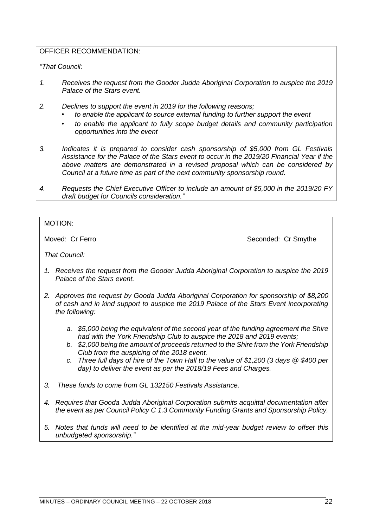#### OFFICER RECOMMENDATION:

*"That Council:*

- *1. Receives the request from the Gooder Judda Aboriginal Corporation to auspice the 2019 Palace of the Stars event.*
- *2. Declines to support the event in 2019 for the following reasons;*
	- *• to enable the applicant to source external funding to further support the event*
	- *• to enable the applicant to fully scope budget details and community participation opportunities into the event*
- *3. Indicates it is prepared to consider cash sponsorship of \$5,000 from GL Festivals Assistance for the Palace of the Stars event to occur in the 2019/20 Financial Year if the above matters are demonstrated in a revised proposal which can be considered by Council at a future time as part of the next community sponsorship round.*
- *4. Requests the Chief Executive Officer to include an amount of \$5,000 in the 2019/20 FY draft budget for Councils consideration."*

#### MOTION:

Moved: Cr Ferro **Seconded: Cr Smythe** Seconded: Cr Smythe

*That Council:*

- *1. Receives the request from the Gooder Judda Aboriginal Corporation to auspice the 2019 Palace of the Stars event.*
- *2. Approves the request by Gooda Judda Aboriginal Corporation for sponsorship of \$8,200 of cash and in kind support to auspice the 2019 Palace of the Stars Event incorporating the following:*
	- *a. \$5,000 being the equivalent of the second year of the funding agreement the Shire had with the York Friendship Club to auspice the 2018 and 2019 events;*
	- *b. \$2,000 being the amount of proceeds returned to the Shire from the York Friendship Club from the auspicing of the 2018 event.*
	- *c. Three full days of hire of the Town Hall to the value of \$1,200 (3 days @ \$400 per day) to deliver the event as per the 2018/19 Fees and Charges.*
- *3. These funds to come from GL 132150 Festivals Assistance.*
- *4. Requires that Gooda Judda Aboriginal Corporation submits acquittal documentation after the event as per Council Policy C 1.3 Community Funding Grants and Sponsorship Policy.*
- *5. Notes that funds will need to be identified at the mid-year budget review to offset this unbudgeted sponsorship."*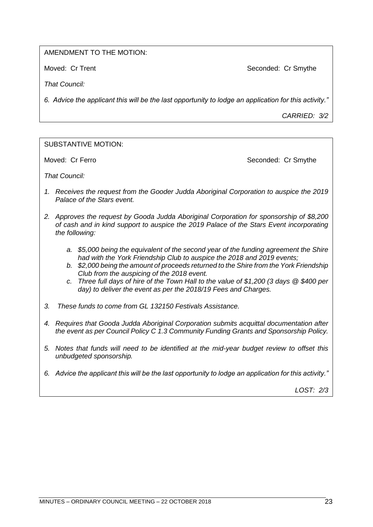#### AMENDMENT TO THE MOTION:

Moved: Cr Trent Noved: Cr Smythe

*That Council:*

*6. Advice the applicant this will be the last opportunity to lodge an application for this activity."*

*CARRIED: 3/2*

#### SUBSTANTIVE MOTION:

Moved: Cr Ferro **Seconded: Cr Smythe** Seconded: Cr Smythe

*That Council:*

- *1. Receives the request from the Gooder Judda Aboriginal Corporation to auspice the 2019 Palace of the Stars event.*
- *2. Approves the request by Gooda Judda Aboriginal Corporation for sponsorship of \$8,200 of cash and in kind support to auspice the 2019 Palace of the Stars Event incorporating the following:*
	- *a. \$5,000 being the equivalent of the second year of the funding agreement the Shire had with the York Friendship Club to auspice the 2018 and 2019 events;*
	- *b. \$2,000 being the amount of proceeds returned to the Shire from the York Friendship Club from the auspicing of the 2018 event.*
	- *c. Three full days of hire of the Town Hall to the value of \$1,200 (3 days @ \$400 per day) to deliver the event as per the 2018/19 Fees and Charges.*
- *3. These funds to come from GL 132150 Festivals Assistance.*
- *4. Requires that Gooda Judda Aboriginal Corporation submits acquittal documentation after the event as per Council Policy C 1.3 Community Funding Grants and Sponsorship Policy.*
- *5. Notes that funds will need to be identified at the mid-year budget review to offset this unbudgeted sponsorship.*
- *6. Advice the applicant this will be the last opportunity to lodge an application for this activity."*

*LOST: 2/3*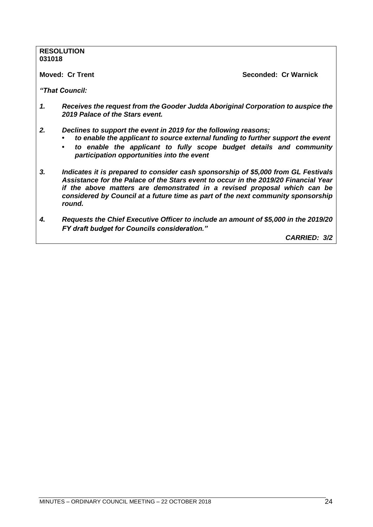# **RESOLUTION 031018 Moved: Cr Trent Seconded: Cr Warnick** *"That Council: 1. Receives the request from the Gooder Judda Aboriginal Corporation to auspice the 2019 Palace of the Stars event. 2. Declines to support the event in 2019 for the following reasons; • to enable the applicant to source external funding to further support the event • to enable the applicant to fully scope budget details and community participation opportunities into the event 3. Indicates it is prepared to consider cash sponsorship of \$5,000 from GL Festivals Assistance for the Palace of the Stars event to occur in the 2019/20 Financial Year if the above matters are demonstrated in a revised proposal which can be*

*4. Requests the Chief Executive Officer to include an amount of \$5,000 in the 2019/20 FY draft budget for Councils consideration."*

*considered by Council at a future time as part of the next community sponsorship* 

*CARRIED: 3/2*

*round.*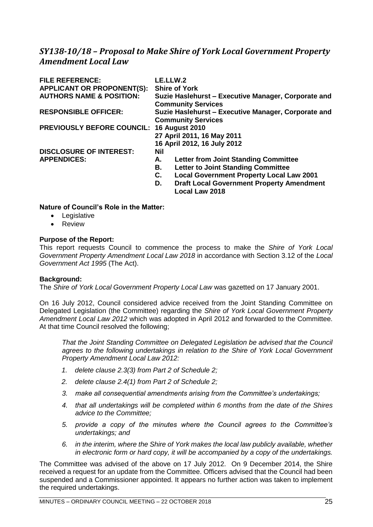# <span id="page-24-0"></span>*SY138-10/18 – Proposal to Make Shire of York Local Government Property Amendment Local Law*

| <b>FILE REFERENCE:</b>                    | LE.LLW.2                                                                         |
|-------------------------------------------|----------------------------------------------------------------------------------|
| <b>APPLICANT OR PROPONENT(S):</b>         | <b>Shire of York</b>                                                             |
| <b>AUTHORS NAME &amp; POSITION:</b>       | Suzie Haslehurst – Executive Manager, Corporate and<br><b>Community Services</b> |
| <b>RESPONSIBLE OFFICER:</b>               | Suzie Haslehurst – Executive Manager, Corporate and<br><b>Community Services</b> |
| PREVIOUSLY BEFORE COUNCIL: 16 August 2010 |                                                                                  |
|                                           | 27 April 2011, 16 May 2011                                                       |
|                                           | 16 April 2012, 16 July 2012                                                      |
| <b>DISCLOSURE OF INTEREST:</b>            | Nil                                                                              |
| <b>APPENDICES:</b>                        | <b>Letter from Joint Standing Committee</b><br>А.                                |
|                                           | <b>Letter to Joint Standing Committee</b><br>В.                                  |
|                                           | <b>Local Government Property Local Law 2001</b><br>C.                            |
|                                           | <b>Draft Local Government Property Amendment</b><br>D.<br><b>Local Law 2018</b>  |

#### **Nature of Council's Role in the Matter:**

- Legislative
- Review

#### **Purpose of the Report:**

This report requests Council to commence the process to make the *Shire of York Local Government Property Amendment Local Law 2018* in accordance with Section 3.12 of the *Local Government Act 1995* (The Act).

#### **Background:**

The *Shire of York Local Government Property Local Law* was gazetted on 17 January 2001.

On 16 July 2012, Council considered advice received from the Joint Standing Committee on Delegated Legislation (the Committee) regarding the *Shire of York Local Government Property Amendment Local Law 2012* which was adopted in April 2012 and forwarded to the Committee. At that time Council resolved the following;

*That the Joint Standing Committee on Delegated Legislation be advised that the Council agrees to the following undertakings in relation to the Shire of York Local Government Property Amendment Local Law 2012:*

- *1. delete clause 2.3(3) from Part 2 of Schedule 2;*
- *2. delete clause 2.4(1) from Part 2 of Schedule 2;*
- *3. make all consequential amendments arising from the Committee's undertakings;*
- *4. that all undertakings will be completed within 6 months from the date of the Shires advice to the Committee;*
- *5. provide a copy of the minutes where the Council agrees to the Committee's undertakings; and*
- *6. in the interim, where the Shire of York makes the local law publicly available, whether in electronic form or hard copy, it will be accompanied by a copy of the undertakings.*

The Committee was advised of the above on 17 July 2012. On 9 December 2014, the Shire received a request for an update from the Committee. Officers advised that the Council had been suspended and a Commissioner appointed. It appears no further action was taken to implement the required undertakings.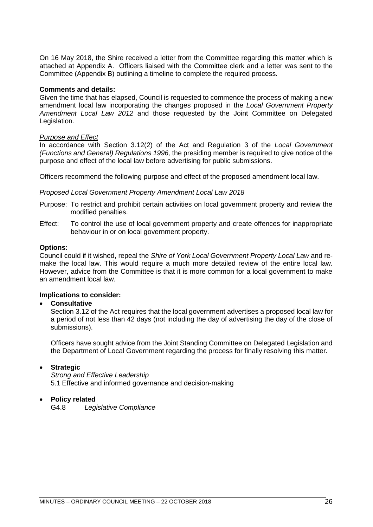On 16 May 2018, the Shire received a letter from the Committee regarding this matter which is attached at Appendix A. Officers liaised with the Committee clerk and a letter was sent to the Committee (Appendix B) outlining a timeline to complete the required process.

#### **Comments and details:**

Given the time that has elapsed, Council is requested to commence the process of making a new amendment local law incorporating the changes proposed in the *Local Government Property Amendment Local Law 2012* and those requested by the Joint Committee on Delegated Legislation.

#### *Purpose and Effect*

In accordance with Section 3.12(2) of the Act and Regulation 3 of the *Local Government (Functions and General) Regulations 1996,* the presiding member is required to give notice of the purpose and effect of the local law before advertising for public submissions.

Officers recommend the following purpose and effect of the proposed amendment local law.

#### *Proposed Local Government Property Amendment Local Law 2018*

- Purpose: To restrict and prohibit certain activities on local government property and review the modified penalties.
- Effect: To control the use of local government property and create offences for inappropriate behaviour in or on local government property.

#### **Options:**

Council could if it wished, repeal the *Shire of York Local Government Property Local Law* and remake the local law. This would require a much more detailed review of the entire local law. However, advice from the Committee is that it is more common for a local government to make an amendment local law.

#### **Implications to consider:**

#### • **Consultative**

Section 3.12 of the Act requires that the local government advertises a proposed local law for a period of not less than 42 days (not including the day of advertising the day of the close of submissions).

Officers have sought advice from the Joint Standing Committee on Delegated Legislation and the Department of Local Government regarding the process for finally resolving this matter.

#### • **Strategic**

*Strong and Effective Leadership* 5.1 Effective and informed governance and decision-making

#### • **Policy related**

G4.8 *Legislative Compliance*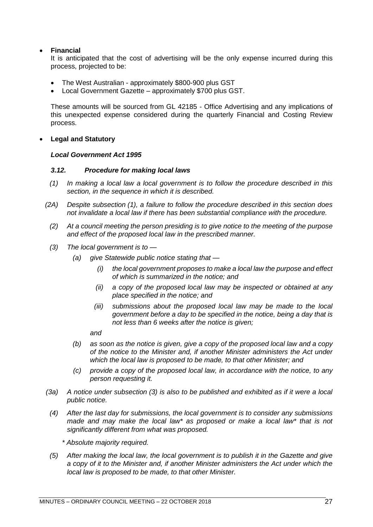#### • **Financial**

It is anticipated that the cost of advertising will be the only expense incurred during this process, projected to be:

- The West Australian approximately \$800-900 plus GST
- Local Government Gazette approximately \$700 plus GST.

These amounts will be sourced from GL 42185 - Office Advertising and any implications of this unexpected expense considered during the quarterly Financial and Costing Review process.

• **Legal and Statutory**

#### *Local Government Act 1995*

#### *3.12. Procedure for making local laws*

- *(1) In making a local law a local government is to follow the procedure described in this section, in the sequence in which it is described.*
- *(2A) Despite subsection (1), a failure to follow the procedure described in this section does not invalidate a local law if there has been substantial compliance with the procedure.*
	- *(2) At a council meeting the person presiding is to give notice to the meeting of the purpose and effect of the proposed local law in the prescribed manner.*
	- *(3) The local government is to —*
		- *(a) give Statewide public notice stating that —*
			- *(i) the local government proposes to make a local law the purpose and effect of which is summarized in the notice; and*
			- *(ii) a copy of the proposed local law may be inspected or obtained at any place specified in the notice; and*
			- *(iii) submissions about the proposed local law may be made to the local government before a day to be specified in the notice, being a day that is not less than 6 weeks after the notice is given;*

*and*

- *(b) as soon as the notice is given, give a copy of the proposed local law and a copy of the notice to the Minister and, if another Minister administers the Act under which the local law is proposed to be made, to that other Minister; and*
- *(c) provide a copy of the proposed local law, in accordance with the notice, to any person requesting it.*
- *(3a) A notice under subsection (3) is also to be published and exhibited as if it were a local public notice.*
- *(4) After the last day for submissions, the local government is to consider any submissions made and may make the local law\* as proposed or make a local law\* that is not significantly different from what was proposed.*

*\* Absolute majority required.*

*(5) After making the local law, the local government is to publish it in the Gazette and give a copy of it to the Minister and, if another Minister administers the Act under which the local law is proposed to be made, to that other Minister.*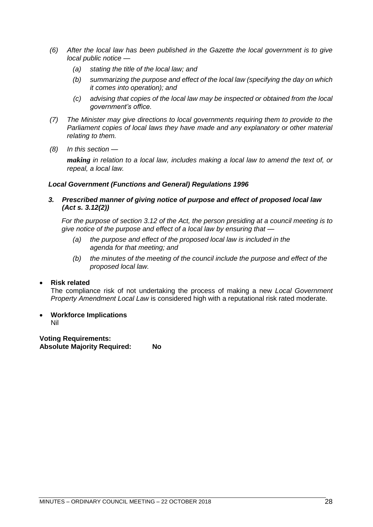- *(6) After the local law has been published in the Gazette the local government is to give local public notice —*
	- *(a) stating the title of the local law; and*
	- *(b) summarizing the purpose and effect of the local law (specifying the day on which it comes into operation); and*
	- *(c) advising that copies of the local law may be inspected or obtained from the local government's office.*
- *(7) The Minister may give directions to local governments requiring them to provide to the Parliament copies of local laws they have made and any explanatory or other material relating to them.*
- *(8) In this section —*

*making in relation to a local law, includes making a local law to amend the text of, or repeal, a local law.*

#### *Local Government (Functions and General) Regulations 1996*

*3. Prescribed manner of giving notice of purpose and effect of proposed local law (Act s. 3.12(2))*

*For the purpose of section 3.12 of the Act, the person presiding at a council meeting is to give notice of the purpose and effect of a local law by ensuring that —*

- *(a) the purpose and effect of the proposed local law is included in the agenda for that meeting; and*
- *(b) the minutes of the meeting of the council include the purpose and effect of the proposed local law.*

#### • **Risk related**

The compliance risk of not undertaking the process of making a new *Local Government Property Amendment Local Law* is considered high with a reputational risk rated moderate.

• **Workforce Implications** Nil

**Voting Requirements: Absolute Majority Required: No**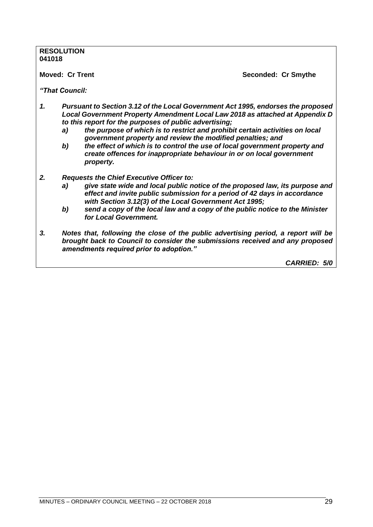# **RESOLUTION 041018 Moved: Cr Trent Seconded: Cr Smythe** *"That Council: 1. Pursuant to Section 3.12 of the Local Government Act 1995, endorses the proposed Local Government Property Amendment Local Law 2018 as attached at Appendix D to this report for the purposes of public advertising; a) the purpose of which is to restrict and prohibit certain activities on local government property and review the modified penalties; and b) the effect of which is to control the use of local government property and create offences for inappropriate behaviour in or on local government property. 2. Requests the Chief Executive Officer to: a) give state wide and local public notice of the proposed law, its purpose and effect and invite public submission for a period of 42 days in accordance with Section 3.12(3) of the Local Government Act 1995; b) send a copy of the local law and a copy of the public notice to the Minister for Local Government. 3. Notes that, following the close of the public advertising period, a report will be brought back to Council to consider the submissions received and any proposed amendments required prior to adoption."*

*CARRIED: 5/0*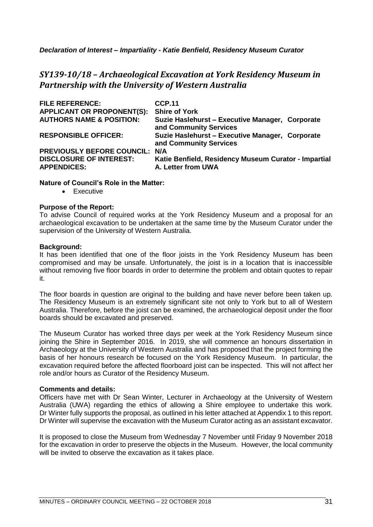*Declaration of Interest – Impartiality - Katie Benfield, Residency Museum Curator*

# *SY139-10/18 – Archaeological Excavation at York Residency Museum in Partnership with the University of Western Australia*

| <b>FILE REFERENCE:</b>              | <b>CCP.11</b>                                                             |
|-------------------------------------|---------------------------------------------------------------------------|
| <b>APPLICANT OR PROPONENT(S):</b>   | <b>Shire of York</b>                                                      |
| <b>AUTHORS NAME &amp; POSITION:</b> | Suzie Haslehurst - Executive Manager, Corporate<br>and Community Services |
| <b>RESPONSIBLE OFFICER:</b>         | Suzie Haslehurst - Executive Manager, Corporate<br>and Community Services |
| PREVIOUSLY BEFORE COUNCIL: N/A      |                                                                           |
| <b>DISCLOSURE OF INTEREST:</b>      | Katie Benfield, Residency Museum Curator - Impartial                      |
| <b>APPENDICES:</b>                  | A. Letter from UWA                                                        |

#### **Nature of Council's Role in the Matter:**

• Executive

#### **Purpose of the Report:**

To advise Council of required works at the York Residency Museum and a proposal for an archaeological excavation to be undertaken at the same time by the Museum Curator under the supervision of the University of Western Australia.

#### **Background:**

It has been identified that one of the floor joists in the York Residency Museum has been compromised and may be unsafe. Unfortunately, the joist is in a location that is inaccessible without removing five floor boards in order to determine the problem and obtain quotes to repair it.

The floor boards in question are original to the building and have never before been taken up. The Residency Museum is an extremely significant site not only to York but to all of Western Australia. Therefore, before the joist can be examined, the archaeological deposit under the floor boards should be excavated and preserved.

The Museum Curator has worked three days per week at the York Residency Museum since joining the Shire in September 2016. In 2019, she will commence an honours dissertation in Archaeology at the University of Western Australia and has proposed that the project forming the basis of her honours research be focused on the York Residency Museum. In particular, the excavation required before the affected floorboard joist can be inspected. This will not affect her role and/or hours as Curator of the Residency Museum.

#### **Comments and details:**

Officers have met with Dr Sean Winter, Lecturer in Archaeology at the University of Western Australia (UWA) regarding the ethics of allowing a Shire employee to undertake this work. Dr Winter fully supports the proposal, as outlined in his letter attached at Appendix 1 to this report. Dr Winter will supervise the excavation with the Museum Curator acting as an assistant excavator.

It is proposed to close the Museum from Wednesday 7 November until Friday 9 November 2018 for the excavation in order to preserve the objects in the Museum. However, the local community will be invited to observe the excavation as it takes place.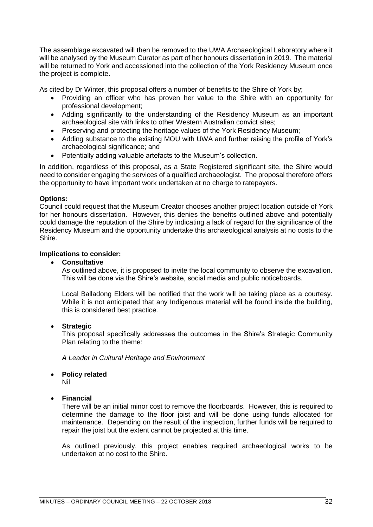The assemblage excavated will then be removed to the UWA Archaeological Laboratory where it will be analysed by the Museum Curator as part of her honours dissertation in 2019. The material will be returned to York and accessioned into the collection of the York Residency Museum once the project is complete.

As cited by Dr Winter, this proposal offers a number of benefits to the Shire of York by;

- Providing an officer who has proven her value to the Shire with an opportunity for professional development;
- Adding significantly to the understanding of the Residency Museum as an important archaeological site with links to other Western Australian convict sites;
- Preserving and protecting the heritage values of the York Residency Museum;
- Adding substance to the existing MOU with UWA and further raising the profile of York's archaeological significance; and
- Potentially adding valuable artefacts to the Museum's collection.

In addition, regardless of this proposal, as a State Registered significant site, the Shire would need to consider engaging the services of a qualified archaeologist. The proposal therefore offers the opportunity to have important work undertaken at no charge to ratepayers.

#### **Options:**

Council could request that the Museum Creator chooses another project location outside of York for her honours dissertation. However, this denies the benefits outlined above and potentially could damage the reputation of the Shire by indicating a lack of regard for the significance of the Residency Museum and the opportunity undertake this archaeological analysis at no costs to the Shire.

#### **Implications to consider:**

#### • **Consultative**

As outlined above, it is proposed to invite the local community to observe the excavation. This will be done via the Shire's website, social media and public noticeboards.

Local Balladong Elders will be notified that the work will be taking place as a courtesy. While it is not anticipated that any Indigenous material will be found inside the building, this is considered best practice.

#### • **Strategic**

This proposal specifically addresses the outcomes in the Shire's Strategic Community Plan relating to the theme:

*A Leader in Cultural Heritage and Environment*

• **Policy related**

Nil

#### • **Financial**

There will be an initial minor cost to remove the floorboards. However, this is required to determine the damage to the floor joist and will be done using funds allocated for maintenance. Depending on the result of the inspection, further funds will be required to repair the joist but the extent cannot be projected at this time.

As outlined previously, this project enables required archaeological works to be undertaken at no cost to the Shire.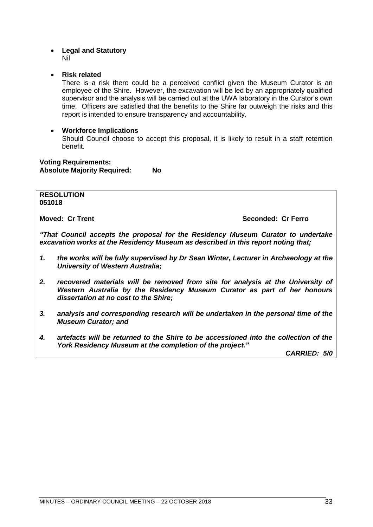#### • **Legal and Statutory** Nil

#### • **Risk related**

There is a risk there could be a perceived conflict given the Museum Curator is an employee of the Shire. However, the excavation will be led by an appropriately qualified supervisor and the analysis will be carried out at the UWA laboratory in the Curator's own time. Officers are satisfied that the benefits to the Shire far outweigh the risks and this report is intended to ensure transparency and accountability.

#### • **Workforce Implications**

Should Council choose to accept this proposal, it is likely to result in a staff retention benefit.

**Voting Requirements: Absolute Majority Required: No**

# **RESOLUTION**

**051018**

**Moved: Cr Trent Seconded: Cr Ferro**

*"That Council accepts the proposal for the Residency Museum Curator to undertake excavation works at the Residency Museum as described in this report noting that;*

- *1. the works will be fully supervised by Dr Sean Winter, Lecturer in Archaeology at the University of Western Australia;*
- *2. recovered materials will be removed from site for analysis at the University of Western Australia by the Residency Museum Curator as part of her honours dissertation at no cost to the Shire;*
- *3. analysis and corresponding research will be undertaken in the personal time of the Museum Curator; and*
- *4. artefacts will be returned to the Shire to be accessioned into the collection of the York Residency Museum at the completion of the project."*

*CARRIED: 5/0*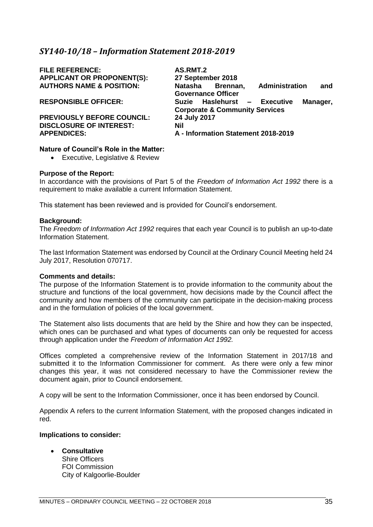# <span id="page-34-0"></span>*SY140-10/18 – Information Statement 2018-2019*

**FILE REFERENCE: AS.RMT.2 APPLICANT OR PROPONENT(S):** 

**PREVIOUSLY BEFORE COUNCIL: 24 July 2017 DISCLOSURE OF INTEREST: Nil**<br>APPENDICES: A -

**AUTHORS NAME & POSITION: Natasha Brennan, Administration and Governance Officer RESPONSIBLE OFFICER: Suzie Haslehurst – Executive Manager, Corporate & Community Services APPENDICES: A - Information Statement 2018-2019**

#### **Nature of Council's Role in the Matter:**

• Executive, Legislative & Review

#### **Purpose of the Report:**

In accordance with the provisions of Part 5 of the *Freedom of Information Act 1992* there is a requirement to make available a current Information Statement.

This statement has been reviewed and is provided for Council's endorsement.

#### **Background:**

The *Freedom of Information Act 1992* requires that each year Council is to publish an up-to-date Information Statement.

The last Information Statement was endorsed by Council at the Ordinary Council Meeting held 24 July 2017, Resolution 070717.

#### **Comments and details:**

The purpose of the Information Statement is to provide information to the community about the structure and functions of the local government, how decisions made by the Council affect the community and how members of the community can participate in the decision-making process and in the formulation of policies of the local government.

The Statement also lists documents that are held by the Shire and how they can be inspected, which ones can be purchased and what types of documents can only be requested for access through application under the *Freedom of Information Act 1992.*

Offices completed a comprehensive review of the Information Statement in 2017/18 and submitted it to the Information Commissioner for comment. As there were only a few minor changes this year, it was not considered necessary to have the Commissioner review the document again, prior to Council endorsement.

A copy will be sent to the Information Commissioner, once it has been endorsed by Council.

Appendix A refers to the current Information Statement, with the proposed changes indicated in red.

#### **Implications to consider:**

- **Consultative** Shire Officers
	- FOI Commission City of Kalgoorlie-Boulder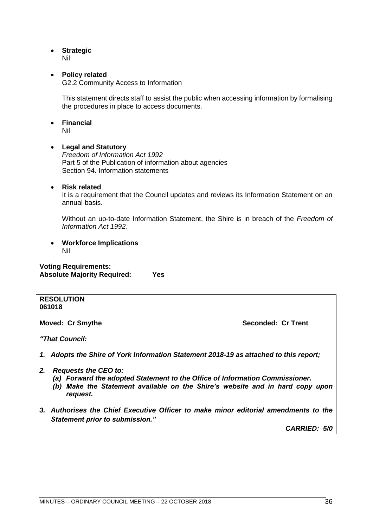• **Strategic**

Nil

#### • **Policy related**

G2.2 Community Access to Information

This statement directs staff to assist the public when accessing information by formalising the procedures in place to access documents.

• **Financial**

Nil

#### • **Legal and Statutory**

*Freedom of Information Act 1992* Part 5 of the Publication of information about agencies Section 94. Information statements

#### • **Risk related**

It is a requirement that the Council updates and reviews its Information Statement on an annual basis.

Without an up-to-date Information Statement, the Shire is in breach of the *Freedom of Information Act 1992.*

• **Workforce Implications** Nil

**Voting Requirements: Absolute Majority Required: Yes**

#### **RESOLUTION 061018**

**Moved: Cr Smythe Seconded: Cr Trent** 

*"That Council:*

*1. Adopts the Shire of York Information Statement 2018-19 as attached to this report;*

- *2. Requests the CEO to:*
	- *(a) Forward the adopted Statement to the Office of Information Commissioner.*
	- *(b) Make the Statement available on the Shire's website and in hard copy upon request.*
- *3. Authorises the Chief Executive Officer to make minor editorial amendments to the Statement prior to submission."*

*CARRIED: 5/0*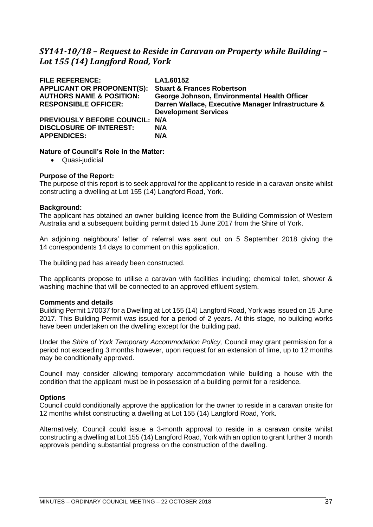# *SY141-10/18 – Request to Reside in Caravan on Property while Building – Lot 155 (14) Langford Road, York*

| <b>FILE REFERENCE:</b><br><b>APPLICANT OR PROPONENT(S):</b><br><b>AUTHORS NAME &amp; POSITION:</b><br><b>RESPONSIBLE OFFICER:</b> | LA1.60152<br><b>Stuart &amp; Frances Robertson</b><br>George Johnson, Environmental Health Officer<br>Darren Wallace, Executive Manager Infrastructure &<br><b>Development Services</b> |
|-----------------------------------------------------------------------------------------------------------------------------------|-----------------------------------------------------------------------------------------------------------------------------------------------------------------------------------------|
| <b>PREVIOUSLY BEFORE COUNCIL: N/A</b><br><b>DISCLOSURE OF INTEREST:</b><br><b>APPENDICES:</b>                                     | N/A<br>N/A                                                                                                                                                                              |

# **Nature of Council's Role in the Matter:**

• Quasi-judicial

# **Purpose of the Report:**

The purpose of this report is to seek approval for the applicant to reside in a caravan onsite whilst constructing a dwelling at Lot 155 (14) Langford Road, York.

## **Background:**

The applicant has obtained an owner building licence from the Building Commission of Western Australia and a subsequent building permit dated 15 June 2017 from the Shire of York.

An adjoining neighbours' letter of referral was sent out on 5 September 2018 giving the 14 correspondents 14 days to comment on this application.

The building pad has already been constructed.

The applicants propose to utilise a caravan with facilities including; chemical toilet, shower & washing machine that will be connected to an approved effluent system.

#### **Comments and details**

Building Permit 170037 for a Dwelling at Lot 155 (14) Langford Road, York was issued on 15 June 2017. This Building Permit was issued for a period of 2 years. At this stage, no building works have been undertaken on the dwelling except for the building pad.

Under the *Shire of York Temporary Accommodation Policy,* Council may grant permission for a period not exceeding 3 months however, upon request for an extension of time, up to 12 months may be conditionally approved.

Council may consider allowing temporary accommodation while building a house with the condition that the applicant must be in possession of a building permit for a residence.

# **Options**

Council could conditionally approve the application for the owner to reside in a caravan onsite for 12 months whilst constructing a dwelling at Lot 155 (14) Langford Road, York.

Alternatively, Council could issue a 3-month approval to reside in a caravan onsite whilst constructing a dwelling at Lot 155 (14) Langford Road, York with an option to grant further 3 month approvals pending substantial progress on the construction of the dwelling.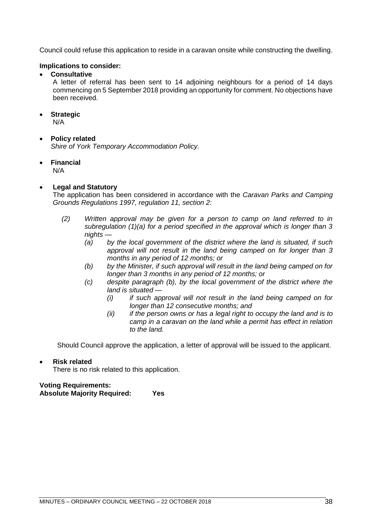Council could refuse this application to reside in a caravan onsite while constructing the dwelling.

# **Implications to consider:**

• **Consultative**

A letter of referral has been sent to 14 adjoining neighbours for a period of 14 days commencing on 5 September 2018 providing an opportunity for comment. No objections have been received.

# • **Strategic**

N/A

# • **Policy related**

*Shire of York Temporary Accommodation Policy.*

• **Financial**

N/A

# • **Legal and Statutory**

The application has been considered in accordance with the *Caravan Parks and Camping Grounds Regulations 1997, regulation 11, section 2:*

- *(2) Written approval may be given for a person to camp on land referred to in subregulation (1)(a) for a period specified in the approval which is longer than 3 nights —*
	- *(a) by the local government of the district where the land is situated, if such approval will not result in the land being camped on for longer than 3 months in any period of 12 months; or*
	- *(b) by the Minister, if such approval will result in the land being camped on for longer than 3 months in any period of 12 months; or*
	- *(c) despite paragraph (b), by the local government of the district where the land is situated —*
		- *(i) if such approval will not result in the land being camped on for longer than 12 consecutive months; and*
		- *(ii) if the person owns or has a legal right to occupy the land and is to camp in a caravan on the land while a permit has effect in relation to the land.*

Should Council approve the application, a letter of approval will be issued to the applicant.

# • **Risk related**

There is no risk related to this application.

# **Voting Requirements:**

**Absolute Majority Required: Yes**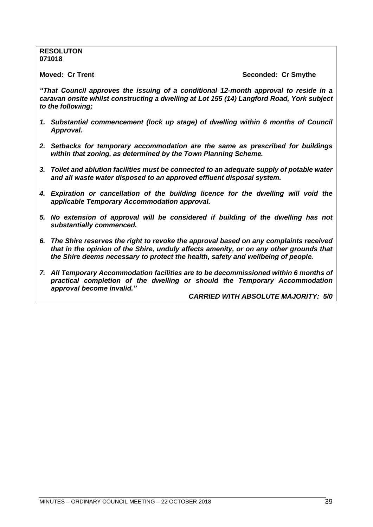## **RESOLUTON 071018**

**Moved: Cr Trent Seconded: Cr Smythe**

*"That Council approves the issuing of a conditional 12-month approval to reside in a caravan onsite whilst constructing a dwelling at Lot 155 (14) Langford Road, York subject to the following;* 

- *1. Substantial commencement (lock up stage) of dwelling within 6 months of Council Approval.*
- *2. Setbacks for temporary accommodation are the same as prescribed for buildings within that zoning, as determined by the Town Planning Scheme.*
- *3. Toilet and ablution facilities must be connected to an adequate supply of potable water and all waste water disposed to an approved effluent disposal system.*
- *4. Expiration or cancellation of the building licence for the dwelling will void the applicable Temporary Accommodation approval.*
- *5. No extension of approval will be considered if building of the dwelling has not substantially commenced.*
- *6. The Shire reserves the right to revoke the approval based on any complaints received that in the opinion of the Shire, unduly affects amenity, or on any other grounds that the Shire deems necessary to protect the health, safety and wellbeing of people.*
- *7. All Temporary Accommodation facilities are to be decommissioned within 6 months of practical completion of the dwelling or should the Temporary Accommodation approval become invalid."*

*CARRIED WITH ABSOLUTE MAJORITY: 5/0*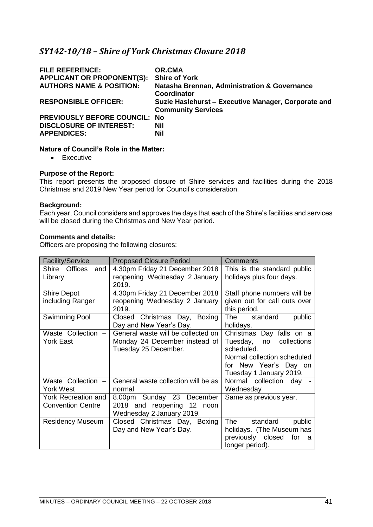# *SY142-10/18 – Shire of York Christmas Closure 2018*

| <b>FILE REFERENCE:</b>               | OR.CMA                                                                           |
|--------------------------------------|----------------------------------------------------------------------------------|
| <b>APPLICANT OR PROPONENT(S):</b>    | <b>Shire of York</b>                                                             |
| <b>AUTHORS NAME &amp; POSITION:</b>  | Natasha Brennan, Administration & Governance<br>Coordinator                      |
| <b>RESPONSIBLE OFFICER:</b>          | Suzie Haslehurst - Executive Manager, Corporate and<br><b>Community Services</b> |
| <b>PREVIOUSLY BEFORE COUNCIL: No</b> |                                                                                  |
| <b>DISCLOSURE OF INTEREST:</b>       | <b>Nil</b>                                                                       |
| <b>APPENDICES:</b>                   | Nil                                                                              |

# **Nature of Council's Role in the Matter:**

• Executive

## **Purpose of the Report:**

This report presents the proposed closure of Shire services and facilities during the 2018 Christmas and 2019 New Year period for Council's consideration.

# **Background:**

Each year, Council considers and approves the days that each of the Shire's facilities and services will be closed during the Christmas and New Year period.

## **Comments and details:**

Officers are proposing the following closures:

| <b>Facility/Service</b>  | <b>Proposed Closure Period</b>                                | Comments                      |
|--------------------------|---------------------------------------------------------------|-------------------------------|
| Shire Offices<br>and     | 4.30pm Friday 21 December 2018                                | This is the standard public   |
| Library                  | reopening Wednesday 2 January                                 | holidays plus four days.      |
|                          | 2019.                                                         |                               |
| <b>Shire Depot</b>       | 4.30pm Friday 21 December 2018                                | Staff phone numbers will be   |
| including Ranger         | reopening Wednesday 2 January<br>given out for call outs over |                               |
|                          | 2019.                                                         | this period.                  |
| <b>Swimming Pool</b>     | Closed Christmas Day,<br>Boxing                               | The standard<br>public        |
|                          | Day and New Year's Day.                                       | holidays.                     |
| Waste Collection         | General waste will be collected on                            | Christmas Day falls on a      |
| York East                | Monday 24 December instead of                                 | Tuesday, no collections       |
|                          | Tuesday 25 December.                                          | scheduled.                    |
|                          |                                                               | Normal collection scheduled   |
|                          |                                                               | for New Year's Day on         |
|                          |                                                               | Tuesday 1 January 2019.       |
| Waste Collection -       | General waste collection will be as                           | Normal collection day         |
| York West                | normal.                                                       | Wednesday                     |
| York Recreation and      | 8.00pm Sunday 23 December                                     | Same as previous year.        |
| <b>Convention Centre</b> | 2018 and reopening 12 noon                                    |                               |
|                          | Wednesday 2 January 2019.                                     |                               |
| <b>Residency Museum</b>  | Closed Christmas Day, Boxing                                  | standard<br>The<br>public     |
|                          | Day and New Year's Day.                                       | holidays. (The Museum has     |
|                          |                                                               | previously closed<br>for<br>a |
|                          |                                                               | longer period).               |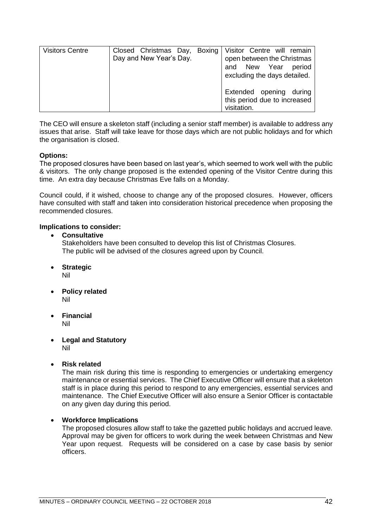| <b>Visitors Centre</b> | Closed Christmas Day, Boxing<br>Day and New Year's Day. | Visitor Centre will remain<br>open between the Christmas<br>and New Year<br>period<br>excluding the days detailed. |
|------------------------|---------------------------------------------------------|--------------------------------------------------------------------------------------------------------------------|
|                        |                                                         | Extended opening<br>during<br>this period due to increased<br>visitation.                                          |

The CEO will ensure a skeleton staff (including a senior staff member) is available to address any issues that arise. Staff will take leave for those days which are not public holidays and for which the organisation is closed.

# **Options:**

The proposed closures have been based on last year's, which seemed to work well with the public & visitors. The only change proposed is the extended opening of the Visitor Centre during this time. An extra day because Christmas Eve falls on a Monday.

Council could, if it wished, choose to change any of the proposed closures. However, officers have consulted with staff and taken into consideration historical precedence when proposing the recommended closures.

# **Implications to consider:**

# • **Consultative**

Stakeholders have been consulted to develop this list of Christmas Closures. The public will be advised of the closures agreed upon by Council.

- **Strategic** Nil
- **Policy related** Nil
- **Financial** Nil
- **Legal and Statutory** Nil
- **Risk related**

The main risk during this time is responding to emergencies or undertaking emergency maintenance or essential services. The Chief Executive Officer will ensure that a skeleton staff is in place during this period to respond to any emergencies, essential services and maintenance. The Chief Executive Officer will also ensure a Senior Officer is contactable on any given day during this period.

# • **Workforce Implications**

The proposed closures allow staff to take the gazetted public holidays and accrued leave. Approval may be given for officers to work during the week between Christmas and New Year upon request. Requests will be considered on a case by case basis by senior officers.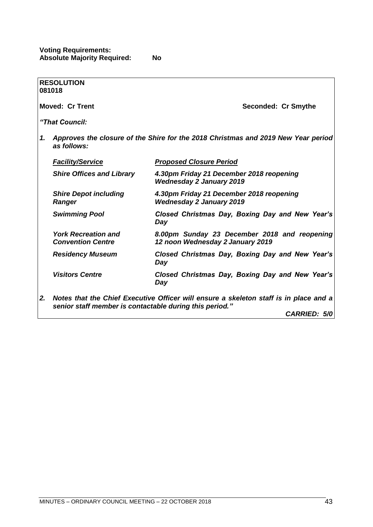|    | <b>RESOLUTION</b><br>081018                             |                                                                                       |
|----|---------------------------------------------------------|---------------------------------------------------------------------------------------|
|    | <b>Moved: Cr Trent</b>                                  | Seconded: Cr Smythe                                                                   |
|    | "That Council:                                          |                                                                                       |
| 1. | as follows:                                             | Approves the closure of the Shire for the 2018 Christmas and 2019 New Year period     |
|    | <b>Facility/Service</b>                                 | <b>Proposed Closure Period</b>                                                        |
|    | <b>Shire Offices and Library</b>                        | 4.30pm Friday 21 December 2018 reopening<br><b>Wednesday 2 January 2019</b>           |
|    | <b>Shire Depot including</b><br><b>Ranger</b>           | 4.30pm Friday 21 December 2018 reopening<br><b>Wednesday 2 January 2019</b>           |
|    | <b>Swimming Pool</b>                                    | Closed Christmas Day, Boxing Day and New Year's<br>Day                                |
|    | <b>York Recreation and</b><br><b>Convention Centre</b>  | 8.00pm Sunday 23 December 2018 and reopening<br>12 noon Wednesday 2 January 2019      |
|    | <b>Residency Museum</b>                                 | Closed Christmas Day, Boxing Day and New Year's<br>Day                                |
|    | <b>Visitors Centre</b>                                  | Closed Christmas Day, Boxing Day and New Year's<br>Day                                |
| 2. | senior staff member is contactable during this period." | Notes that the Chief Executive Officer will ensure a skeleton staff is in place and a |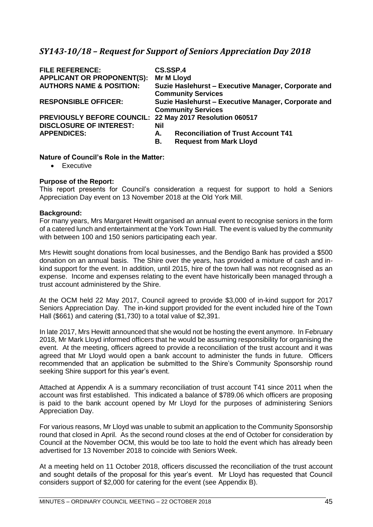# *SY143-10/18 – Request for Support of Seniors Appreciation Day 2018*

| <b>FILE REFERENCE:</b><br><b>APPLICANT OR PROPONENT(S):</b> | CS.SSP.4<br><b>Mr M Lloyd</b>                                                    |
|-------------------------------------------------------------|----------------------------------------------------------------------------------|
| <b>AUTHORS NAME &amp; POSITION:</b>                         | Suzie Haslehurst - Executive Manager, Corporate and<br><b>Community Services</b> |
| <b>RESPONSIBLE OFFICER:</b>                                 | Suzie Haslehurst - Executive Manager, Corporate and<br><b>Community Services</b> |
| PREVIOUSLY BEFORE COUNCIL: 22 May 2017 Resolution 060517    |                                                                                  |
| <b>DISCLOSURE OF INTEREST:</b><br><b>APPENDICES:</b>        | <b>Nil</b><br><b>Reconciliation of Trust Account T41</b><br>А.                   |
|                                                             | <b>Request from Mark Lloyd</b><br>В.                                             |

# **Nature of Council's Role in the Matter:**

• Executive

## **Purpose of the Report:**

This report presents for Council's consideration a request for support to hold a Seniors Appreciation Day event on 13 November 2018 at the Old York Mill.

## **Background:**

For many years, Mrs Margaret Hewitt organised an annual event to recognise seniors in the form of a catered lunch and entertainment at the York Town Hall. The event is valued by the community with between 100 and 150 seniors participating each year.

Mrs Hewitt sought donations from local businesses, and the Bendigo Bank has provided a \$500 donation on an annual basis. The Shire over the years, has provided a mixture of cash and inkind support for the event. In addition, until 2015, hire of the town hall was not recognised as an expense. Income and expenses relating to the event have historically been managed through a trust account administered by the Shire.

At the OCM held 22 May 2017, Council agreed to provide \$3,000 of in-kind support for 2017 Seniors Appreciation Day. The in-kind support provided for the event included hire of the Town Hall (\$661) and catering (\$1,730) to a total value of \$2,391.

In late 2017, Mrs Hewitt announced that she would not be hosting the event anymore. In February 2018, Mr Mark Lloyd informed officers that he would be assuming responsibility for organising the event. At the meeting, officers agreed to provide a reconciliation of the trust account and it was agreed that Mr Lloyd would open a bank account to administer the funds in future. Officers recommended that an application be submitted to the Shire's Community Sponsorship round seeking Shire support for this year's event.

Attached at Appendix A is a summary reconciliation of trust account T41 since 2011 when the account was first established. This indicated a balance of \$789.06 which officers are proposing is paid to the bank account opened by Mr Lloyd for the purposes of administering Seniors Appreciation Day.

For various reasons, Mr Lloyd was unable to submit an application to the Community Sponsorship round that closed in April. As the second round closes at the end of October for consideration by Council at the November OCM, this would be too late to hold the event which has already been advertised for 13 November 2018 to coincide with Seniors Week.

At a meeting held on 11 October 2018, officers discussed the reconciliation of the trust account and sought details of the proposal for this year's event. Mr Lloyd has requested that Council considers support of \$2,000 for catering for the event (see Appendix B).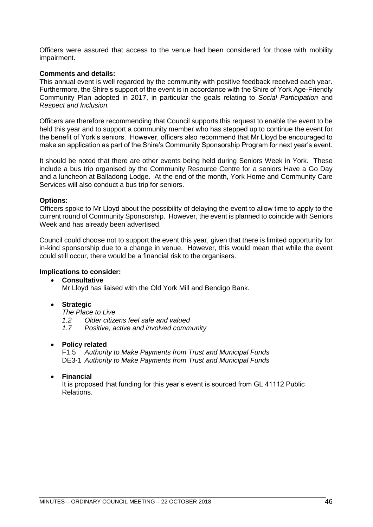Officers were assured that access to the venue had been considered for those with mobility impairment.

## **Comments and details:**

This annual event is well regarded by the community with positive feedback received each year. Furthermore, the Shire's support of the event is in accordance with the Shire of York Age-Friendly Community Plan adopted in 2017, in particular the goals relating to *Social Participation* and *Respect and Inclusion.*

Officers are therefore recommending that Council supports this request to enable the event to be held this year and to support a community member who has stepped up to continue the event for the benefit of York's seniors. However, officers also recommend that Mr Lloyd be encouraged to make an application as part of the Shire's Community Sponsorship Program for next year's event.

It should be noted that there are other events being held during Seniors Week in York. These include a bus trip organised by the Community Resource Centre for a seniors Have a Go Day and a luncheon at Balladong Lodge. At the end of the month, York Home and Community Care Services will also conduct a bus trip for seniors.

#### **Options:**

Officers spoke to Mr Lloyd about the possibility of delaying the event to allow time to apply to the current round of Community Sponsorship. However, the event is planned to coincide with Seniors Week and has already been advertised.

Council could choose not to support the event this year, given that there is limited opportunity for in-kind sponsorship due to a change in venue. However, this would mean that while the event could still occur, there would be a financial risk to the organisers.

#### **Implications to consider:**

#### • **Consultative**

Mr Lloyd has liaised with the Old York Mill and Bendigo Bank.

# • **Strategic**

*The Place to Live*

- *1.2 Older citizens feel safe and valued*
- *1.7 Positive, active and involved community*

# • **Policy related**

F1.5 *Authority to Make Payments from Trust and Municipal Funds* DE3-1 *Authority to Make Payments from Trust and Municipal Funds*

#### • **Financial**

It is proposed that funding for this year's event is sourced from GL 41112 Public Relations.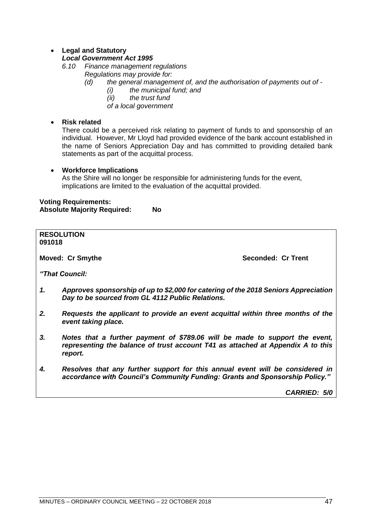# • **Legal and Statutory**

# *Local Government Act 1995*

*6.10 Finance management regulations*

- *Regulations may provide for:*
	- *(d) the general management of, and the authorisation of payments out of -*
		- *(i) the municipal fund; and*
		- *(ii) the trust fund*
		- *of a local government*

# • **Risk related**

There could be a perceived risk relating to payment of funds to and sponsorship of an individual. However, Mr Lloyd had provided evidence of the bank account established in the name of Seniors Appreciation Day and has committed to providing detailed bank statements as part of the acquittal process.

# • **Workforce Implications**

As the Shire will no longer be responsible for administering funds for the event, implications are limited to the evaluation of the acquittal provided.

# **Voting Requirements: Absolute Majority Required: No**

**RESOLUTION 091018 Moved: Cr Smythe Seconded: Cr Trent** *"That Council: 1. Approves sponsorship of up to \$2,000 for catering of the 2018 Seniors Appreciation Day to be sourced from GL 4112 Public Relations. 2. Requests the applicant to provide an event acquittal within three months of the event taking place. 3. Notes that a further payment of \$789.06 will be made to support the event, representing the balance of trust account T41 as attached at Appendix A to this report. 4. Resolves that any further support for this annual event will be considered in accordance with Council's Community Funding: Grants and Sponsorship Policy."*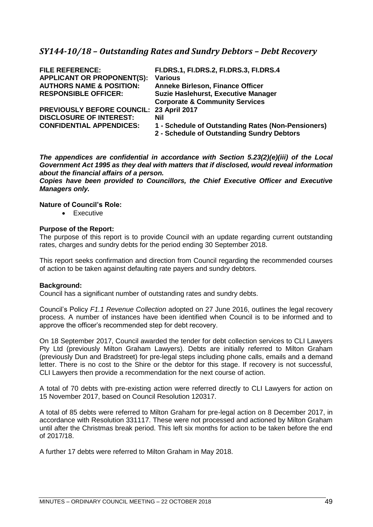| <b>FILE REFERENCE:</b><br><b>APPLICANT OR PROPONENT(S):</b><br><b>AUTHORS NAME &amp; POSITION:</b><br><b>RESPONSIBLE OFFICER:</b> | FI.DRS.1, FI.DRS.2, FI.DRS.3, FI.DRS.4<br><b>Various</b><br><b>Anneke Birleson, Finance Officer</b><br>Suzie Haslehurst, Executive Manager<br><b>Corporate &amp; Community Services</b> |
|-----------------------------------------------------------------------------------------------------------------------------------|-----------------------------------------------------------------------------------------------------------------------------------------------------------------------------------------|
| PREVIOUSLY BEFORE COUNCIL: 23 April 2017<br><b>DISCLOSURE OF INTEREST:</b><br><b>CONFIDENTIAL APPENDICES:</b>                     | Nil<br>1 - Schedule of Outstanding Rates (Non-Pensioners)                                                                                                                               |
|                                                                                                                                   | 2 - Schedule of Outstanding Sundry Debtors                                                                                                                                              |

*The appendices are confidential in accordance with Section 5.23(2)(e)(iii) of the Local Government Act 1995 as they deal with matters that if disclosed, would reveal information about the financial affairs of a person.* 

*Copies have been provided to Councillors, the Chief Executive Officer and Executive Managers only.*

# **Nature of Council's Role:**

• Executive

## **Purpose of the Report:**

The purpose of this report is to provide Council with an update regarding current outstanding rates, charges and sundry debts for the period ending 30 September 2018.

This report seeks confirmation and direction from Council regarding the recommended courses of action to be taken against defaulting rate payers and sundry debtors.

#### **Background:**

Council has a significant number of outstanding rates and sundry debts.

Council's Policy *F1.1 Revenue Collection* adopted on 27 June 2016, outlines the legal recovery process. A number of instances have been identified when Council is to be informed and to approve the officer's recommended step for debt recovery.

On 18 September 2017, Council awarded the tender for debt collection services to CLI Lawyers Pty Ltd (previously Milton Graham Lawyers). Debts are initially referred to Milton Graham (previously Dun and Bradstreet) for pre-legal steps including phone calls, emails and a demand letter. There is no cost to the Shire or the debtor for this stage. If recovery is not successful, CLI Lawyers then provide a recommendation for the next course of action.

A total of 70 debts with pre-existing action were referred directly to CLI Lawyers for action on 15 November 2017, based on Council Resolution 120317.

A total of 85 debts were referred to Milton Graham for pre-legal action on 8 December 2017, in accordance with Resolution 331117. These were not processed and actioned by Milton Graham until after the Christmas break period. This left six months for action to be taken before the end of 2017/18.

A further 17 debts were referred to Milton Graham in May 2018.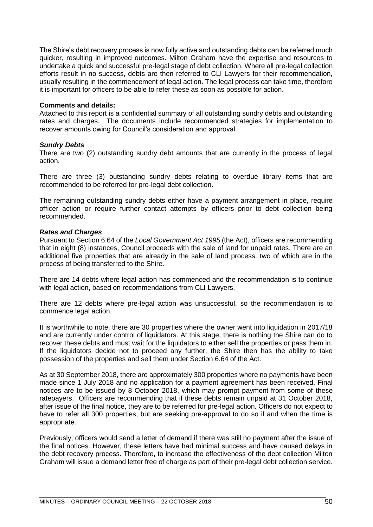The Shire's debt recovery process is now fully active and outstanding debts can be referred much quicker, resulting in improved outcomes. Milton Graham have the expertise and resources to undertake a quick and successful pre-legal stage of debt collection. Where all pre-legal collection efforts result in no success, debts are then referred to CLI Lawyers for their recommendation, usually resulting in the commencement of legal action. The legal process can take time, therefore it is important for officers to be able to refer these as soon as possible for action.

#### **Comments and details:**

Attached to this report is a confidential summary of all outstanding sundry debts and outstanding rates and charges. The documents include recommended strategies for implementation to recover amounts owing for Council's consideration and approval.

# *Sundry Debts*

There are two (2) outstanding sundry debt amounts that are currently in the process of legal action.

There are three (3) outstanding sundry debts relating to overdue library items that are recommended to be referred for pre-legal debt collection.

The remaining outstanding sundry debts either have a payment arrangement in place, require officer action or require further contact attempts by officers prior to debt collection being recommended.

## *Rates and Charges*

Pursuant to Section 6.64 of the *Local Government Act 1995* (the Act), officers are recommending that in eight (8) instances, Council proceeds with the sale of land for unpaid rates. There are an additional five properties that are already in the sale of land process, two of which are in the process of being transferred to the Shire.

There are 14 debts where legal action has commenced and the recommendation is to continue with legal action, based on recommendations from CLI Lawyers.

There are 12 debts where pre-legal action was unsuccessful, so the recommendation is to commence legal action.

It is worthwhile to note, there are 30 properties where the owner went into liquidation in 2017/18 and are currently under control of liquidators. At this stage, there is nothing the Shire can do to recover these debts and must wait for the liquidators to either sell the properties or pass them in. If the liquidators decide not to proceed any further, the Shire then has the ability to take possession of the properties and sell them under Section 6.64 of the Act.

As at 30 September 2018, there are approximately 300 properties where no payments have been made since 1 July 2018 and no application for a payment agreement has been received. Final notices are to be issued by 8 October 2018, which may prompt payment from some of these ratepayers. Officers are recommending that if these debts remain unpaid at 31 October 2018, after issue of the final notice, they are to be referred for pre-legal action. Officers do not expect to have to refer all 300 properties, but are seeking pre-approval to do so if and when the time is appropriate.

Previously, officers would send a letter of demand if there was still no payment after the issue of the final notices. However, these letters have had minimal success and have caused delays in the debt recovery process. Therefore, to increase the effectiveness of the debt collection Milton Graham will issue a demand letter free of charge as part of their pre-legal debt collection service.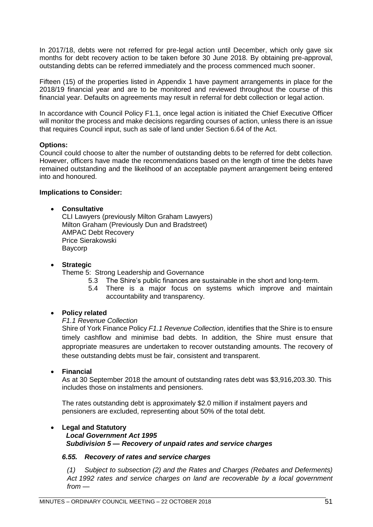In 2017/18, debts were not referred for pre-legal action until December, which only gave six months for debt recovery action to be taken before 30 June 2018. By obtaining pre-approval, outstanding debts can be referred immediately and the process commenced much sooner.

Fifteen (15) of the properties listed in Appendix 1 have payment arrangements in place for the 2018/19 financial year and are to be monitored and reviewed throughout the course of this financial year. Defaults on agreements may result in referral for debt collection or legal action.

In accordance with Council Policy F1.1, once legal action is initiated the Chief Executive Officer will monitor the process and make decisions regarding courses of action, unless there is an issue that requires Council input, such as sale of land under Section 6.64 of the Act.

## **Options:**

Council could choose to alter the number of outstanding debts to be referred for debt collection. However, officers have made the recommendations based on the length of time the debts have remained outstanding and the likelihood of an acceptable payment arrangement being entered into and honoured.

## **Implications to Consider:**

## • **Consultative**

CLI Lawyers (previously Milton Graham Lawyers) Milton Graham (Previously Dun and Bradstreet) AMPAC Debt Recovery Price Sierakowski Baycorp

#### • **Strategic**

Theme 5: Strong Leadership and Governance

- 5.3 The Shire's public finances are sustainable in the short and long-term.
- 5.4 There is a major focus on systems which improve and maintain accountability and transparency.

#### • **Policy related**

## *F1.1 Revenue Collection*

Shire of York Finance Policy *F1.1 Revenue Collection*, identifies that the Shire is to ensure timely cashflow and minimise bad debts. In addition, the Shire must ensure that appropriate measures are undertaken to recover outstanding amounts. The recovery of these outstanding debts must be fair, consistent and transparent.

#### • **Financial**

As at 30 September 2018 the amount of outstanding rates debt was \$3,916,203.30. This includes those on instalments and pensioners.

The rates outstanding debt is approximately \$2.0 million if instalment payers and pensioners are excluded, representing about 50% of the total debt.

#### • **Legal and Statutory**

# *Local Government Act 1995 Subdivision 5 — Recovery of unpaid rates and service charges*

# *6.55. Recovery of rates and service charges*

*(1) Subject to subsection (2) and the Rates and Charges (Rebates and Deferments) Act 1992 rates and service charges on land are recoverable by a local government from —*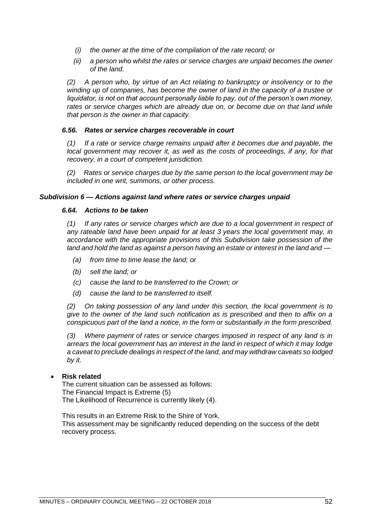- *(i) the owner at the time of the compilation of the rate record; or*
- *(ii) a person who whilst the rates or service charges are unpaid becomes the owner of the land.*

*(2) A person who, by virtue of an Act relating to bankruptcy or insolvency or to the winding up of companies, has become the owner of land in the capacity of a trustee or liquidator, is not on that account personally liable to pay, out of the person's own money,*  rates or service charges which are already due on, or become due on that land while *that person is the owner in that capacity.*

#### *6.56. Rates or service charges recoverable in court*

*(1) If a rate or service charge remains unpaid after it becomes due and payable, the local government may recover it, as well as the costs of proceedings, if any, for that recovery, in a court of competent jurisdiction.*

*(2) Rates or service charges due by the same person to the local government may be included in one writ, summons, or other process.*

## *Subdivision 6 — Actions against land where rates or service charges unpaid*

## *6.64. Actions to be taken*

*(1) If any rates or service charges which are due to a local government in respect of any rateable land have been unpaid for at least 3 years the local government may, in accordance with the appropriate provisions of this Subdivision take possession of the land and hold the land as against a person having an estate or interest in the land and —*

- *(a) from time to time lease the land; or*
- *(b) sell the land; or*
- *(c) cause the land to be transferred to the Crown; or*
- *(d) cause the land to be transferred to itself.*

*(2) On taking possession of any land under this section, the local government is to give to the owner of the land such notification as is prescribed and then to affix on a conspicuous part of the land a notice, in the form or substantially in the form prescribed.*

*(3) Where payment of rates or service charges imposed in respect of any land is in arrears the local government has an interest in the land in respect of which it may lodge a caveat to preclude dealings in respect of the land, and may withdraw caveats so lodged by it.*

# • **Risk related**

The current situation can be assessed as follows: The Financial Impact is Extreme (5) The Likelihood of Recurrence is currently likely (4).

This results in an Extreme Risk to the Shire of York. This assessment may be significantly reduced depending on the success of the debt recovery process.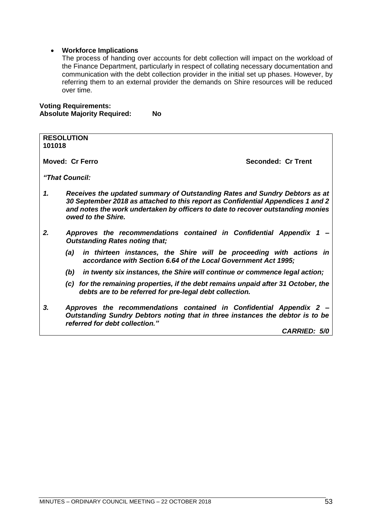# • **Workforce Implications**

The process of handing over accounts for debt collection will impact on the workload of the Finance Department, particularly in respect of collating necessary documentation and communication with the debt collection provider in the initial set up phases. However, by referring them to an external provider the demands on Shire resources will be reduced over time.

# **Voting Requirements: Absolute Majority Required: No**

| <b>RESOLUTION</b>                                                                                                                                                                                                                                                            |
|------------------------------------------------------------------------------------------------------------------------------------------------------------------------------------------------------------------------------------------------------------------------------|
| 101018                                                                                                                                                                                                                                                                       |
| <b>Moved: Cr Ferro</b><br>Seconded: Cr Trent                                                                                                                                                                                                                                 |
| "That Council:                                                                                                                                                                                                                                                               |
| 1.<br>Receives the updated summary of Outstanding Rates and Sundry Debtors as at<br>30 September 2018 as attached to this report as Confidential Appendices 1 and 2<br>and notes the work undertaken by officers to date to recover outstanding monies<br>owed to the Shire. |
| 2.<br>Approves the recommendations contained in Confidential Appendix 1<br><b>Outstanding Rates noting that;</b>                                                                                                                                                             |
| in thirteen instances, the Shire will be proceeding with actions in<br>(a)<br>accordance with Section 6.64 of the Local Government Act 1995;                                                                                                                                 |
| in twenty six instances, the Shire will continue or commence legal action;<br>(b)                                                                                                                                                                                            |
| (c) for the remaining properties, if the debt remains unpaid after 31 October, the<br>debts are to be referred for pre-legal debt collection.                                                                                                                                |
| 3.<br>Approves the recommendations contained in Confidential Appendix 2 -<br>Outstanding Sundry Debtors noting that in three instances the debtor is to be<br>referred for debt collection."                                                                                 |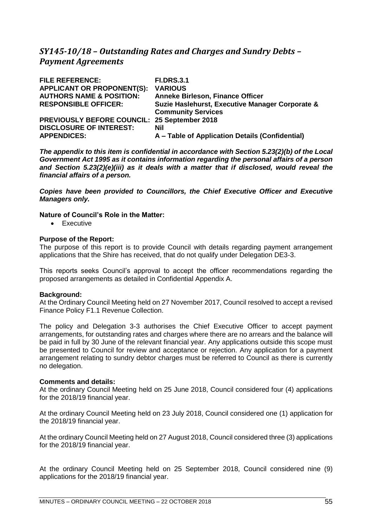# *SY145-10/18 – Outstanding Rates and Charges and Sundry Debts – Payment Agreements*

| <b>FILE REFERENCE:</b>              | <b>FI.DRS.3.1</b>                               |
|-------------------------------------|-------------------------------------------------|
| <b>APPLICANT OR PROPONENT(S):</b>   | <b>VARIOUS</b>                                  |
| <b>AUTHORS NAME &amp; POSITION:</b> | <b>Anneke Birleson, Finance Officer</b>         |
| <b>RESPONSIBLE OFFICER:</b>         | Suzie Haslehurst, Executive Manager Corporate & |
|                                     | <b>Community Services</b>                       |
| <b>PREVIOUSLY BEFORE COUNCIL:</b>   | 25 September 2018                               |
| <b>DISCLOSURE OF INTEREST:</b>      | Nil                                             |
| <b>APPENDICES:</b>                  | A - Table of Application Details (Confidential) |

*The appendix to this item is confidential in accordance with Section 5.23(2)(b) of the Local Government Act 1995 as it contains information regarding the personal affairs of a person and Section 5.23(2)(e)(iii) as it deals with a matter that if disclosed, would reveal the financial affairs of a person.* 

*Copies have been provided to Councillors, the Chief Executive Officer and Executive Managers only.*

# **Nature of Council's Role in the Matter:**

• Executive

## **Purpose of the Report:**

The purpose of this report is to provide Council with details regarding payment arrangement applications that the Shire has received, that do not qualify under Delegation DE3-3.

This reports seeks Council's approval to accept the officer recommendations regarding the proposed arrangements as detailed in Confidential Appendix A.

#### **Background:**

At the Ordinary Council Meeting held on 27 November 2017, Council resolved to accept a revised Finance Policy F1.1 Revenue Collection.

The policy and Delegation 3-3 authorises the Chief Executive Officer to accept payment arrangements, for outstanding rates and charges where there are no arrears and the balance will be paid in full by 30 June of the relevant financial year. Any applications outside this scope must be presented to Council for review and acceptance or rejection. Any application for a payment arrangement relating to sundry debtor charges must be referred to Council as there is currently no delegation.

#### **Comments and details:**

At the ordinary Council Meeting held on 25 June 2018, Council considered four (4) applications for the 2018/19 financial year.

At the ordinary Council Meeting held on 23 July 2018, Council considered one (1) application for the 2018/19 financial year.

At the ordinary Council Meeting held on 27 August 2018, Council considered three (3) applications for the 2018/19 financial year.

At the ordinary Council Meeting held on 25 September 2018, Council considered nine (9) applications for the 2018/19 financial year.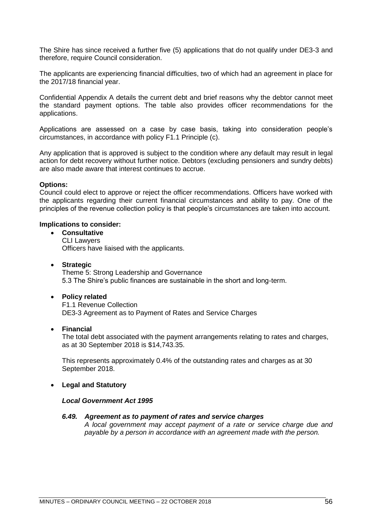The Shire has since received a further five (5) applications that do not qualify under DE3-3 and therefore, require Council consideration.

The applicants are experiencing financial difficulties, two of which had an agreement in place for the 2017/18 financial year.

Confidential Appendix A details the current debt and brief reasons why the debtor cannot meet the standard payment options. The table also provides officer recommendations for the applications.

Applications are assessed on a case by case basis, taking into consideration people's circumstances, in accordance with policy F1.1 Principle (c).

Any application that is approved is subject to the condition where any default may result in legal action for debt recovery without further notice. Debtors (excluding pensioners and sundry debts) are also made aware that interest continues to accrue.

## **Options:**

Council could elect to approve or reject the officer recommendations. Officers have worked with the applicants regarding their current financial circumstances and ability to pay. One of the principles of the revenue collection policy is that people's circumstances are taken into account.

## **Implications to consider:**

- **Consultative** CLI Lawyers Officers have liaised with the applicants.
- **Strategic** Theme 5: Strong Leadership and Governance 5.3 The Shire's public finances are sustainable in the short and long-term.

#### • **Policy related**

F1.1 Revenue Collection DE3-3 Agreement as to Payment of Rates and Service Charges

#### • **Financial**

The total debt associated with the payment arrangements relating to rates and charges, as at 30 September 2018 is \$14,743.35.

This represents approximately 0.4% of the outstanding rates and charges as at 30 September 2018.

#### • **Legal and Statutory**

#### *Local Government Act 1995*

#### *6.49. Agreement as to payment of rates and service charges*

*A local government may accept payment of a rate or service charge due and payable by a person in accordance with an agreement made with the person.*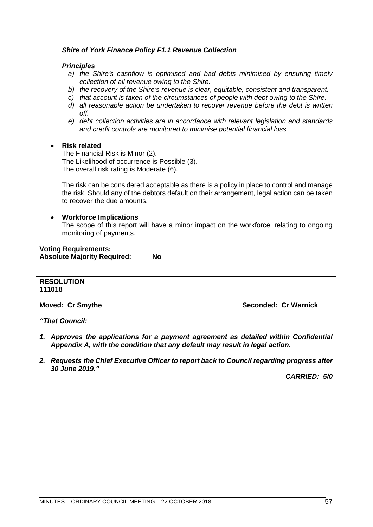# *Shire of York Finance Policy F1.1 Revenue Collection*

## *Principles*

- *a) the Shire's cashflow is optimised and bad debts minimised by ensuring timely collection of all revenue owing to the Shire.*
- *b) the recovery of the Shire's revenue is clear, equitable, consistent and transparent.*
- *c) that account is taken of the circumstances of people with debt owing to the Shire.*
- *d) all reasonable action be undertaken to recover revenue before the debt is written off.*
- *e) debt collection activities are in accordance with relevant legislation and standards and credit controls are monitored to minimise potential financial loss.*

## • **Risk related**

The Financial Risk is Minor (2). The Likelihood of occurrence is Possible (3). The overall risk rating is Moderate (6).

The risk can be considered acceptable as there is a policy in place to control and manage the risk. Should any of the debtors default on their arrangement, legal action can be taken to recover the due amounts.

## • **Workforce Implications**

The scope of this report will have a minor impact on the workforce, relating to ongoing monitoring of payments.

#### **Voting Requirements: Absolute Majority Required: No**

#### **RESOLUTION 111018**

**Moved: Cr Smythe Seconded: Cr Warnick**

*"That Council:*

- *1. Approves the applications for a payment agreement as detailed within Confidential Appendix A, with the condition that any default may result in legal action.*
- *2. Requests the Chief Executive Officer to report back to Council regarding progress after 30 June 2019."*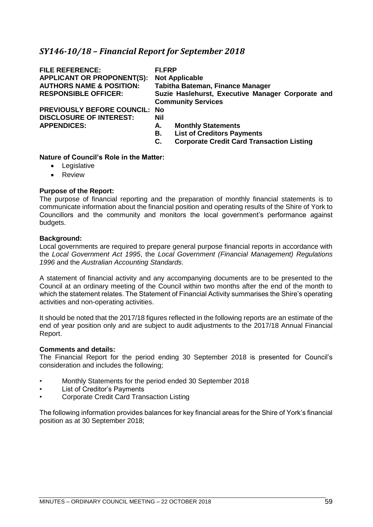# *SY146-10/18 – Financial Report for September 2018*

| <b>FILE REFERENCE:</b><br><b>APPLICANT OR PROPONENT(S):</b><br><b>AUTHORS NAME &amp; POSITION:</b><br><b>RESPONSIBLE OFFICER:</b> | FI.FRP<br><b>Not Applicable</b><br>Tabitha Bateman, Finance Manager<br>Suzie Haslehurst, Executive Manager Corporate and<br><b>Community Services</b> |
|-----------------------------------------------------------------------------------------------------------------------------------|-------------------------------------------------------------------------------------------------------------------------------------------------------|
| <b>PREVIOUSLY BEFORE COUNCIL: No</b><br><b>DISCLOSURE OF INTEREST:</b><br><b>APPENDICES:</b>                                      | Nil<br><b>Monthly Statements</b><br>А.<br><b>List of Creditors Payments</b><br>В.<br><b>Corporate Credit Card Transaction Listing</b><br>С.           |

# **Nature of Council's Role in the Matter:**

- Legislative
- Review

# **Purpose of the Report:**

The purpose of financial reporting and the preparation of monthly financial statements is to communicate information about the financial position and operating results of the Shire of York to Councillors and the community and monitors the local government's performance against budgets.

## **Background:**

Local governments are required to prepare general purpose financial reports in accordance with the *Local Government Act 1995*, the *Local Government (Financial Management) Regulations 1996* and the *Australian Accounting Standards*.

A statement of financial activity and any accompanying documents are to be presented to the Council at an ordinary meeting of the Council within two months after the end of the month to which the statement relates. The Statement of Financial Activity summarises the Shire's operating activities and non-operating activities.

It should be noted that the 2017/18 figures reflected in the following reports are an estimate of the end of year position only and are subject to audit adjustments to the 2017/18 Annual Financial Report.

#### **Comments and details:**

The Financial Report for the period ending 30 September 2018 is presented for Council's consideration and includes the following;

- Monthly Statements for the period ended 30 September 2018
- List of Creditor's Payments
- Corporate Credit Card Transaction Listing

The following information provides balances for key financial areas for the Shire of York's financial position as at 30 September 2018;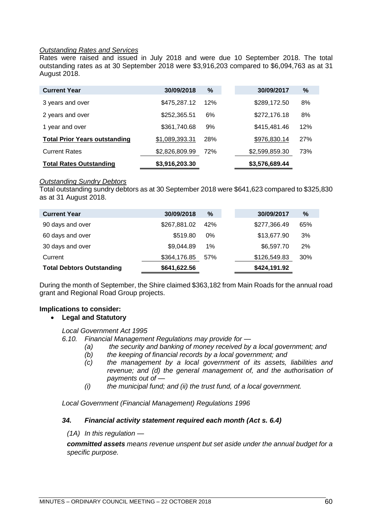# *Outstanding Rates and Services*

Rates were raised and issued in July 2018 and were due 10 September 2018. The total outstanding rates as at 30 September 2018 were \$3,916,203 compared to \$6,094,763 as at 31 August 2018.

| <b>Current Year</b>                  | 30/09/2018     | %   | 30/09/2017     | %   |
|--------------------------------------|----------------|-----|----------------|-----|
| 3 years and over                     | \$475,287.12   | 12% | \$289,172.50   | 8%  |
| 2 years and over                     | \$252,365.51   | 6%  | \$272,176.18   | 8%  |
| 1 year and over                      | \$361,740.68   | 9%  | \$415,481.46   | 12% |
| <b>Total Prior Years outstanding</b> | \$1,089,393.31 | 28% | \$976,830.14   | 27% |
| <b>Current Rates</b>                 | \$2,826,809.99 | 72% | \$2,599,859.30 | 73% |
| <b>Total Rates Outstanding</b>       | \$3,916,203.30 |     | \$3,576,689.44 |     |

#### *Outstanding Sundry Debtors*

Total outstanding sundry debtors as at 30 September 2018 were \$641,623 compared to \$325,830 as at 31 August 2018.

| <b>Current Year</b>              | 30/09/2018   | $\%$ | 30/09/2017   | %   |
|----------------------------------|--------------|------|--------------|-----|
| 90 days and over                 | \$267,881.02 | 42%  | \$277,366.49 | 65% |
| 60 days and over                 | \$519.80     | 0%   | \$13,677.90  | 3%  |
| 30 days and over                 | \$9,044.89   | 1%   | \$6,597.70   | 2%  |
| Current                          | \$364,176.85 | 57%  | \$126,549.83 | 30% |
| <b>Total Debtors Outstanding</b> | \$641,622.56 |      | \$424,191.92 |     |

During the month of September, the Shire claimed \$363,182 from Main Roads for the annual road grant and Regional Road Group projects.

# **Implications to consider:**

# • **Legal and Statutory**

#### *Local Government Act 1995*

*6.10. Financial Management Regulations may provide for —*

- *(a) the security and banking of money received by a local government; and* 
	- *(b) the keeping of financial records by a local government; and*
	- *(c) the management by a local government of its assets, liabilities and revenue; and (d) the general management of, and the authorisation of payments out of —*
	- *(i) the municipal fund; and (ii) the trust fund, of a local government.*

*Local Government (Financial Management) Regulations 1996*

#### *34. Financial activity statement required each month (Act s. 6.4)*

*(1A) In this regulation —*

*committed assets means revenue unspent but set aside under the annual budget for a specific purpose.*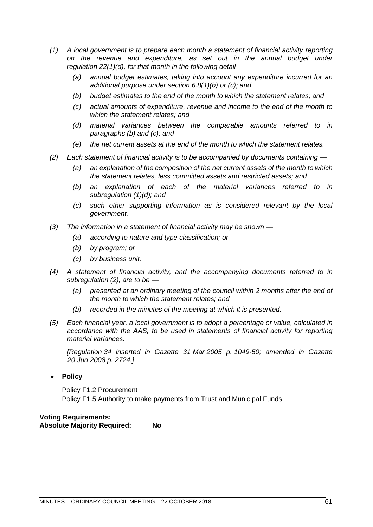- *(1) A local government is to prepare each month a statement of financial activity reporting on the revenue and expenditure, as set out in the annual budget under regulation 22(1)(d), for that month in the following detail —*
	- *(a) annual budget estimates, taking into account any expenditure incurred for an additional purpose under section 6.8(1)(b) or (c); and*
	- *(b) budget estimates to the end of the month to which the statement relates; and*
	- *(c) actual amounts of expenditure, revenue and income to the end of the month to which the statement relates; and*
	- *(d) material variances between the comparable amounts referred to in paragraphs (b) and (c); and*
	- *(e) the net current assets at the end of the month to which the statement relates.*
- *(2) Each statement of financial activity is to be accompanied by documents containing —*
	- *(a) an explanation of the composition of the net current assets of the month to which the statement relates, less committed assets and restricted assets; and*
	- *(b) an explanation of each of the material variances referred to in subregulation (1)(d); and*
	- *(c) such other supporting information as is considered relevant by the local government.*
- *(3) The information in a statement of financial activity may be shown —*
	- *(a) according to nature and type classification; or*
	- *(b) by program; or*
	- *(c) by business unit.*
- *(4) A statement of financial activity, and the accompanying documents referred to in subregulation (2), are to be —*
	- *(a) presented at an ordinary meeting of the council within 2 months after the end of the month to which the statement relates; and*
	- *(b) recorded in the minutes of the meeting at which it is presented.*
- *(5) Each financial year, a local government is to adopt a percentage or value, calculated in accordance with the AAS, to be used in statements of financial activity for reporting material variances.*

*[Regulation 34 inserted in Gazette 31 Mar 2005 p. 1049-50; amended in Gazette 20 Jun 2008 p. 2724.]*

• **Policy**

Policy F1.2 Procurement Policy F1.5 Authority to make payments from Trust and Municipal Funds

**Voting Requirements: Absolute Majority Required: No**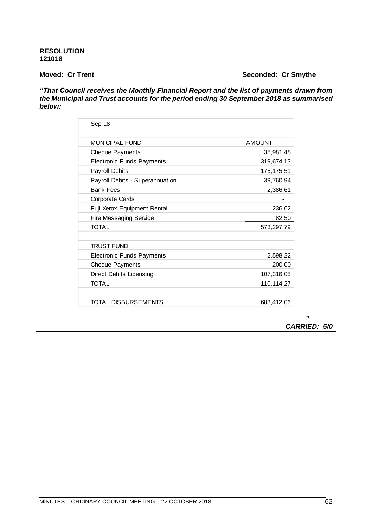## **RESOLUTION 121018**

# **Moved: Cr Trent Seconded: Cr Smythe**

*"That Council receives the Monthly Financial Report and the list of payments drawn from the Municipal and Trust accounts for the period ending 30 September 2018 as summarised below:* 

| Sep-18                           |               |
|----------------------------------|---------------|
| <b>MUNICIPAL FUND</b>            | <b>AMOUNT</b> |
| <b>Cheque Payments</b>           | 35,981.48     |
| <b>Electronic Funds Payments</b> | 319,674.13    |
| <b>Payroll Debits</b>            | 175, 175.51   |
| Payroll Debits - Superannuation  | 39,760.94     |
| <b>Bank Fees</b>                 | 2,386.61      |
| <b>Corporate Cards</b>           |               |
| Fuji Xerox Equipment Rental      | 236.62        |
| <b>Fire Messaging Service</b>    | 82.50         |
| TOTAL                            | 573,297.79    |
| <b>TRUST FUND</b>                |               |
| <b>Electronic Funds Payments</b> | 2,598.22      |
| <b>Cheque Payments</b>           | 200.00        |
| <b>Direct Debits Licensing</b>   | 107,316.05    |
| <b>TOTAL</b>                     | 110,114.27    |
| <b>TOTAL DISBURSEMENTS</b>       | 683,412.06    |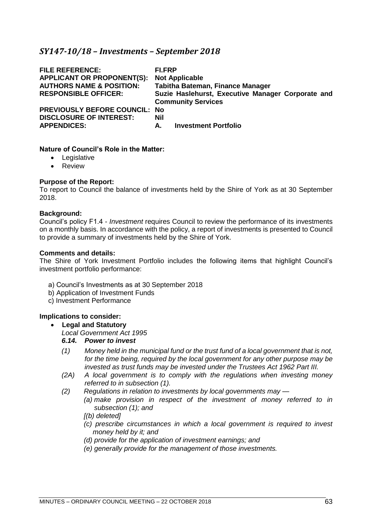# *SY147-10/18 – Investments – September 2018*

| <b>FILE REFERENCE:</b><br><b>APPLICANT OR PROPONENT(S):</b><br><b>AUTHORS NAME &amp; POSITION:</b><br><b>RESPONSIBLE OFFICER:</b> | <b>FI.FRP</b><br><b>Not Applicable</b><br>Tabitha Bateman, Finance Manager<br>Suzie Haslehurst, Executive Manager Corporate and<br><b>Community Services</b> |
|-----------------------------------------------------------------------------------------------------------------------------------|--------------------------------------------------------------------------------------------------------------------------------------------------------------|
| <b>PREVIOUSLY BEFORE COUNCIL: No</b>                                                                                              | Nil                                                                                                                                                          |
| <b>DISCLOSURE OF INTEREST:</b>                                                                                                    | <b>Investment Portfolio</b>                                                                                                                                  |
| <b>APPENDICES:</b>                                                                                                                | А.                                                                                                                                                           |

#### **Nature of Council's Role in the Matter:**

- Legislative
- Review

## **Purpose of the Report:**

To report to Council the balance of investments held by the Shire of York as at 30 September 2018.

#### **Background:**

Council's policy F1.4 - *Investment* requires Council to review the performance of its investments on a monthly basis. In accordance with the policy, a report of investments is presented to Council to provide a summary of investments held by the Shire of York.

#### **Comments and details:**

The Shire of York Investment Portfolio includes the following items that highlight Council's investment portfolio performance:

- a) Council's Investments as at 30 September 2018
- b) Application of Investment Funds
- c) Investment Performance

# **Implications to consider:**

#### • **Legal and Statutory**

*Local Government Act 1995*

# *6.14. Power to invest*

- *(1) Money held in the municipal fund or the trust fund of a local government that is not, for the time being, required by the local government for any other purpose may be invested as trust funds may be invested under the Trustees Act 1962 Part III.*
- *(2A) A local government is to comply with the regulations when investing money referred to in subsection (1).*
- *(2) Regulations in relation to investments by local governments may —*
	- *(a) make provision in respect of the investment of money referred to in subsection (1); and*

# *[(b) deleted]*

- *(c) prescribe circumstances in which a local government is required to invest money held by it; and*
- *(d) provide for the application of investment earnings; and*
- *(e) generally provide for the management of those investments.*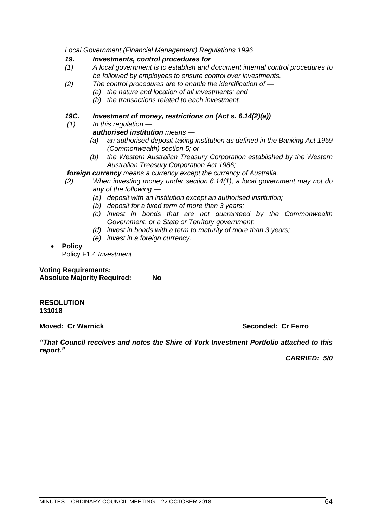*Local Government (Financial Management) Regulations 1996*

# *19. Investments, control procedures for*

- *(1) A local government is to establish and document internal control procedures to be followed by employees to ensure control over investments.*
- *(2) The control procedures are to enable the identification of —*
	- *(a) the nature and location of all investments; and*
	- *(b) the transactions related to each investment.*

# *19C. Investment of money, restrictions on (Act s. 6.14(2)(a))*

*(1) In this regulation —*

# *authorised institution means —*

- *(a) an authorised deposit-taking institution as defined in the Banking Act 1959 (Commonwealth) section 5; or*
- *(b) the Western Australian Treasury Corporation established by the Western Australian Treasury Corporation Act 1986;*

# *foreign currency means a currency except the currency of Australia.*

- *(2) When investing money under section 6.14(1), a local government may not do any of the following —*
	- *(a) deposit with an institution except an authorised institution;*
	- *(b) deposit for a fixed term of more than 3 years;*
	- *(c) invest in bonds that are not guaranteed by the Commonwealth Government, or a State or Territory government;*
	- *(d) invest in bonds with a term to maturity of more than 3 years;*
	- *(e) invest in a foreign currency.*

# • **Policy**

Policy F1.4 *Investment*

**Voting Requirements: Absolute Majority Required: No**

#### **RESOLUTION 131018**

**Moved: Cr Warnick Seconded: Cr Ferro**

*"That Council receives and notes the Shire of York Investment Portfolio attached to this report."*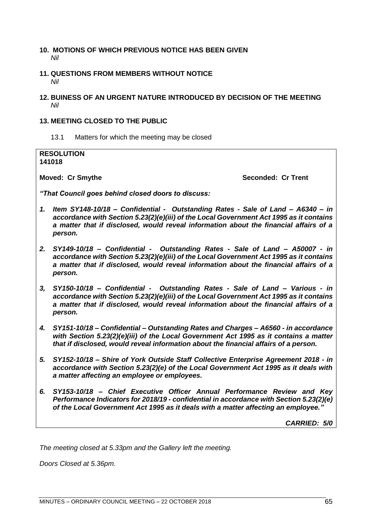# **10. MOTIONS OF WHICH PREVIOUS NOTICE HAS BEEN GIVEN** *Nil*

- **11. QUESTIONS FROM MEMBERS WITHOUT NOTICE** *Nil*
- **12. BUINESS OF AN URGENT NATURE INTRODUCED BY DECISION OF THE MEETING** *Nil*

# **13. MEETING CLOSED TO THE PUBLIC**

13.1 Matters for which the meeting may be closed

**RESOLUTION 141018**

**Moved: Cr Smythe Seconded: Cr Trent**

*"That Council goes behind closed doors to discuss:*

- *1. Item SY148-10/18 – Confidential Outstanding Rates - Sale of Land – A6340 – in accordance with Section 5.23(2)(e)(iii) of the Local Government Act 1995 as it contains a matter that if disclosed, would reveal information about the financial affairs of a person.*
- *2. SY149-10/18 – Confidential Outstanding Rates - Sale of Land – A50007 - in accordance with Section 5.23(2)(e)(iii) of the Local Government Act 1995 as it contains a matter that if disclosed, would reveal information about the financial affairs of a person.*
- *3, SY150-10/18 – Confidential Outstanding Rates - Sale of Land – Various - in accordance with Section 5.23(2)(e)(iii) of the Local Government Act 1995 as it contains a matter that if disclosed, would reveal information about the financial affairs of a person.*
- *4. SY151-10/18 – Confidential – Outstanding Rates and Charges – A6560 - in accordance with Section 5.23(2)(e)(iii) of the Local Government Act 1995 as it contains a matter that if disclosed, would reveal information about the financial affairs of a person.*
- *5. SY152-10/18 – Shire of York Outside Staff Collective Enterprise Agreement 2018 - in accordance with Section 5.23(2)(e) of the Local Government Act 1995 as it deals with a matter affecting an employee or employees.*
- *6. SY153-10/18 – Chief Executive Officer Annual Performance Review and Key Performance Indicators for 2018/19 - confidential in accordance with Section 5.23(2)(e) of the Local Government Act 1995 as it deals with a matter affecting an employee."*

*CARRIED: 5/0*

*The meeting closed at 5.33pm and the Gallery left the meeting.* 

*Doors Closed at 5.36pm.*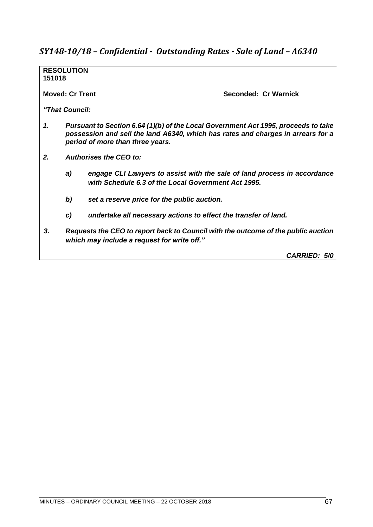# *SY148-10/18 – Confidential - Outstanding Rates - Sale of Land – A6340*

**RESOLUTION 151018 Moved: Cr Trent Seconded: Cr Warnick** *"That Council: 1. Pursuant to Section 6.64 (1)(b) of the Local Government Act 1995, proceeds to take possession and sell the land A6340, which has rates and charges in arrears for a period of more than three years. 2. Authorises the CEO to: a) engage CLI Lawyers to assist with the sale of land process in accordance with Schedule 6.3 of the Local Government Act 1995. b) set a reserve price for the public auction. c) undertake all necessary actions to effect the transfer of land. 3. Requests the CEO to report back to Council with the outcome of the public auction which may include a request for write off."*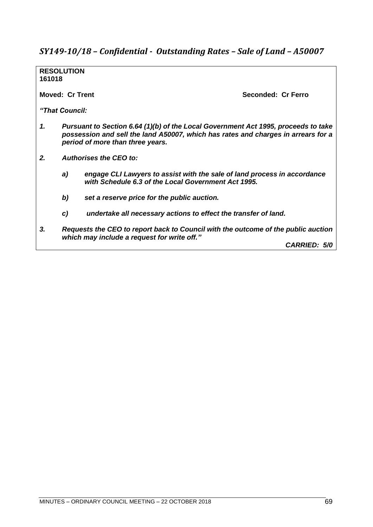# *SY149-10/18 – Confidential - Outstanding Rates – Sale of Land – A50007*

**RESOLUTION 161018**

**Moved: Cr Trent Seconded: Cr Ferro**

*"That Council:*

- *1. Pursuant to Section 6.64 (1)(b) of the Local Government Act 1995, proceeds to take possession and sell the land A50007, which has rates and charges in arrears for a period of more than three years.*
- *2. Authorises the CEO to:*
	- *a) engage CLI Lawyers to assist with the sale of land process in accordance with Schedule 6.3 of the Local Government Act 1995.*
	- *b) set a reserve price for the public auction.*
	- *c) undertake all necessary actions to effect the transfer of land.*
- *3. Requests the CEO to report back to Council with the outcome of the public auction which may include a request for write off."*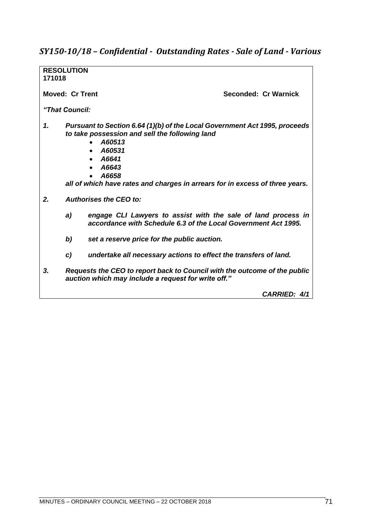# *SY150-10/18 – Confidential - Outstanding Rates - Sale of Land - Various*

| 171018 | <b>RESOLUTION</b>             |                                                                                                                                                                                                                                                             |
|--------|-------------------------------|-------------------------------------------------------------------------------------------------------------------------------------------------------------------------------------------------------------------------------------------------------------|
|        | Moved: Cr Trent               | Seconded: Cr Warnick                                                                                                                                                                                                                                        |
|        | "That Council:                |                                                                                                                                                                                                                                                             |
| 1.     |                               | Pursuant to Section 6.64 (1)(b) of the Local Government Act 1995, proceeds<br>to take possession and sell the following land<br>A60513<br>A60531<br>A6641<br>A6643<br>A6658<br>all of which have rates and charges in arrears for in excess of three years. |
| 2.     | <b>Authorises the CEO to:</b> |                                                                                                                                                                                                                                                             |
|        | a)                            | engage CLI Lawyers to assist with the sale of land process in<br>accordance with Schedule 6.3 of the Local Government Act 1995.                                                                                                                             |
|        | b)                            | set a reserve price for the public auction.                                                                                                                                                                                                                 |
|        | C)                            | undertake all necessary actions to effect the transfers of land.                                                                                                                                                                                            |
| 3.     |                               | Requests the CEO to report back to Council with the outcome of the public<br>auction which may include a request for write off."                                                                                                                            |
|        |                               | <b>CARRIED: 4/1</b>                                                                                                                                                                                                                                         |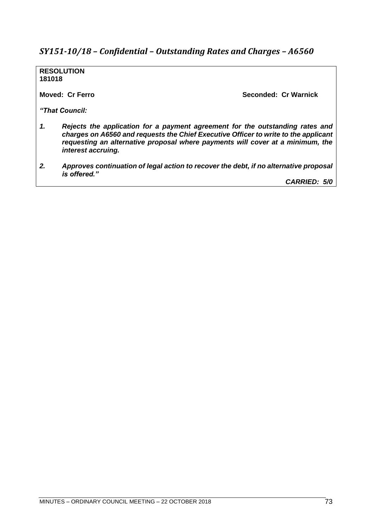# *SY151-10/18 – Confidential – Outstanding Rates and Charges – A6560*

**RESOLUTION 181018**

**Moved: Cr Ferro Seconded: Cr Warnick**

*"That Council:*

- *1. Rejects the application for a payment agreement for the outstanding rates and charges on A6560 and requests the Chief Executive Officer to write to the applicant requesting an alternative proposal where payments will cover at a minimum, the interest accruing.*
- *2. Approves continuation of legal action to recover the debt, if no alternative proposal is offered."*

*CARRIED: 5/0*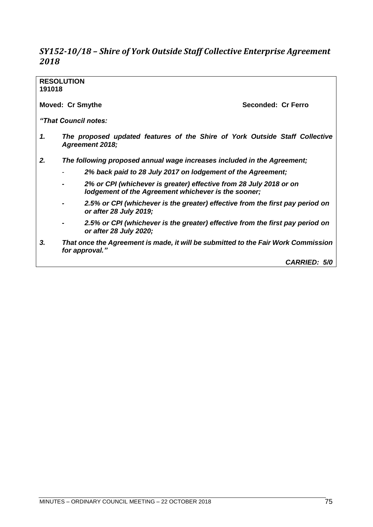# *SY152-10/18 – Shire of York Outside Staff Collective Enterprise Agreement 2018*

# **RESOLUTION 191018 Moved: Cr Smythe Seconded: Cr Ferro** *"That Council notes: 1. The proposed updated features of the Shire of York Outside Staff Collective Agreement 2018; 2. The following proposed annual wage increases included in the Agreement;* - *2% back paid to 28 July 2017 on lodgement of the Agreement; - 2% or CPI (whichever is greater) effective from 28 July 2018 or on lodgement of the Agreement whichever is the sooner; - 2.5% or CPI (whichever is the greater) effective from the first pay period on or after 28 July 2019; - 2.5% or CPI (whichever is the greater) effective from the first pay period on or after 28 July 2020; 3. That once the Agreement is made, it will be submitted to the Fair Work Commission for approval." CARRIED: 5/0*